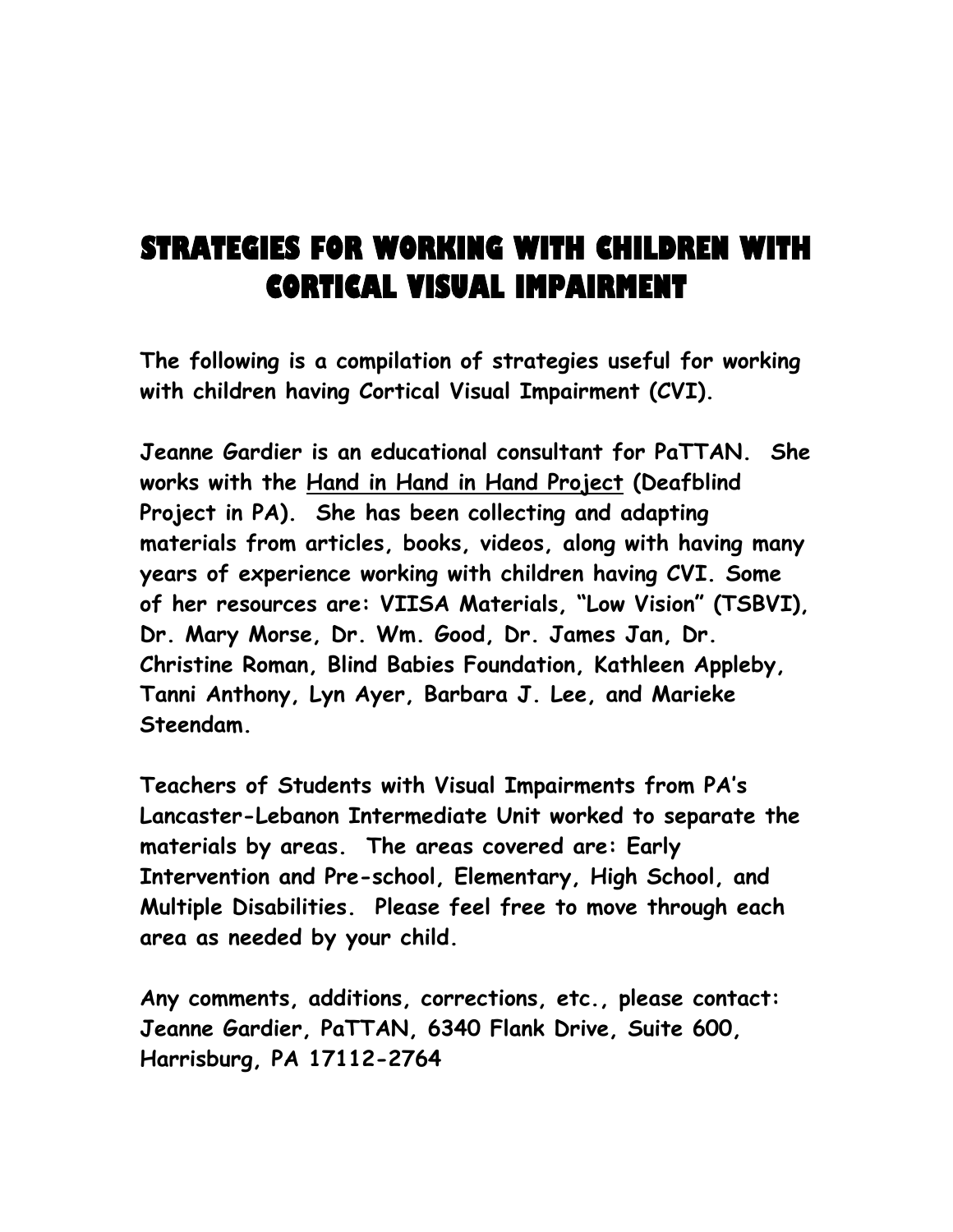# **STRATEGIES FOR WORKING WITH CHILDREN WITH CORTICAL VISUAL IMPAIRMENT**

**The following is a compilation of strategies useful for working with children having Cortical Visual Impairment (CVI).** 

**Jeanne Gardier is an educational consultant for PaTTAN. She works with the Hand in Hand in Hand Project (Deafblind Project in PA). She has been collecting and adapting materials from articles, books, videos, along with having many years of experience working with children having CVI. Some of her resources are: VIISA Materials, "Low Vision" (TSBVI), Dr. Mary Morse, Dr. Wm. Good, Dr. James Jan, Dr. Christine Roman, Blind Babies Foundation, Kathleen Appleby, Tanni Anthony, Lyn Ayer, Barbara J. Lee, and Marieke Steendam.** 

**Teachers of Students with Visual Impairments from PA's Lancaster-Lebanon Intermediate Unit worked to separate the materials by areas. The areas covered are: Early Intervention and Pre-school, Elementary, High School, and Multiple Disabilities. Please feel free to move through each area as needed by your child.** 

**Any comments, additions, corrections, etc., please contact: Jeanne Gardier, PaTTAN, 6340 Flank Drive, Suite 600, Harrisburg, PA 17112-2764**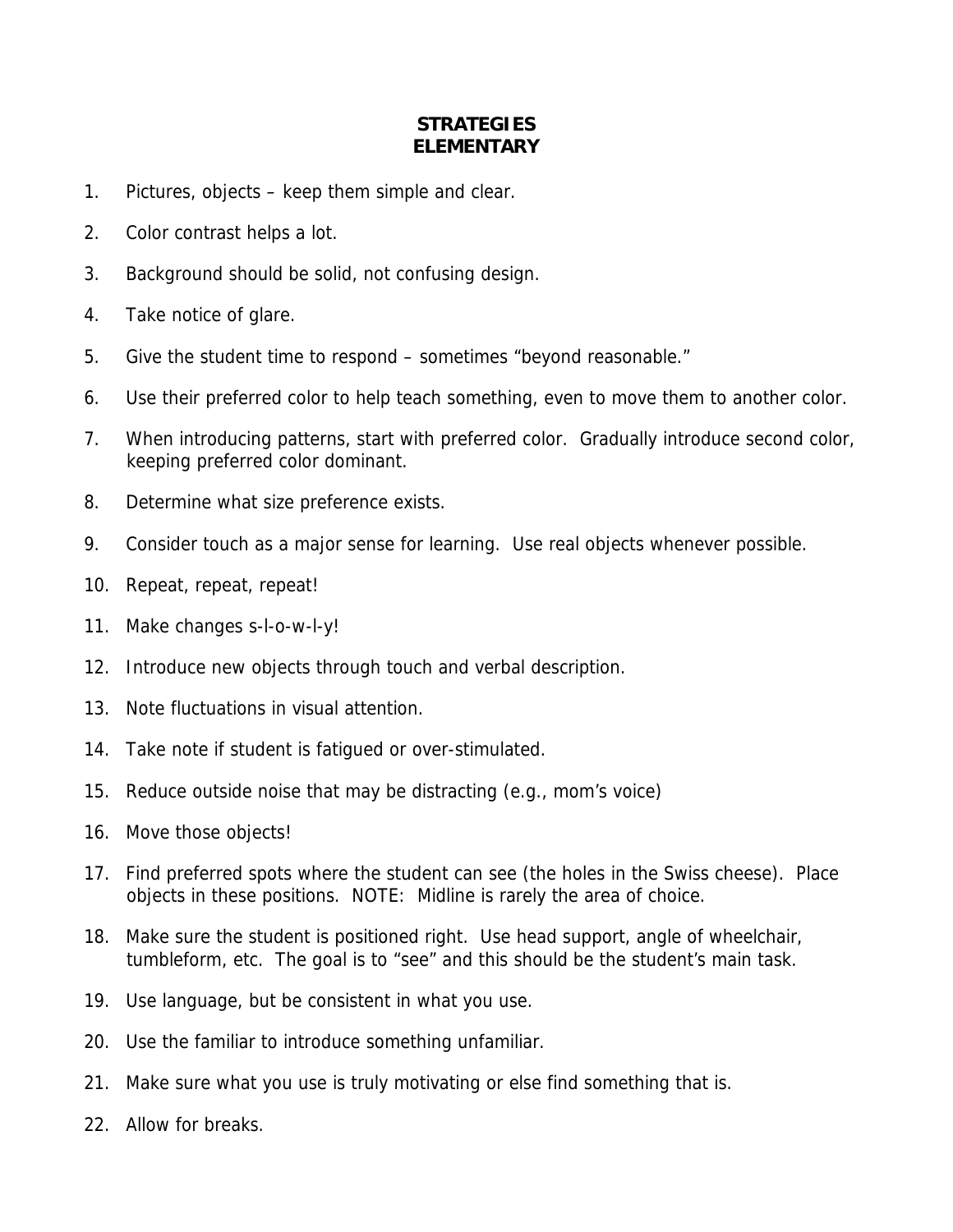### **STRATEGIES ELEMENTARY**

- 1. Pictures, objects keep them simple and clear.
- 2. Color contrast helps a lot.
- 3. Background should be solid, not confusing design.
- 4. Take notice of glare.
- 5. Give the student time to respond sometimes "beyond reasonable."
- 6. Use their preferred color to help teach something, even to move them to another color.
- 7. When introducing patterns, start with preferred color. Gradually introduce second color, keeping preferred color dominant.
- 8. Determine what size preference exists.
- 9. Consider touch as a major sense for learning. Use real objects whenever possible.
- 10. Repeat, repeat, repeat!
- 11. Make changes s-l-o-w-l-y!
- 12. Introduce new objects through touch and verbal description.
- 13. Note fluctuations in visual attention.
- 14. Take note if student is fatigued or over-stimulated.
- 15. Reduce outside noise that may be distracting (e.g., mom's voice)
- 16. Move those objects!
- 17. Find preferred spots where the student can see (the holes in the Swiss cheese). Place objects in these positions. NOTE: Midline is rarely the area of choice.
- 18. Make sure the student is positioned right. Use head support, angle of wheelchair, tumbleform, etc. The goal is to "see" and this should be the student's main task.
- 19. Use language, but be consistent in what you use.
- 20. Use the familiar to introduce something unfamiliar.
- 21. Make sure what you use is truly motivating or else find something that is.
- 22. Allow for breaks.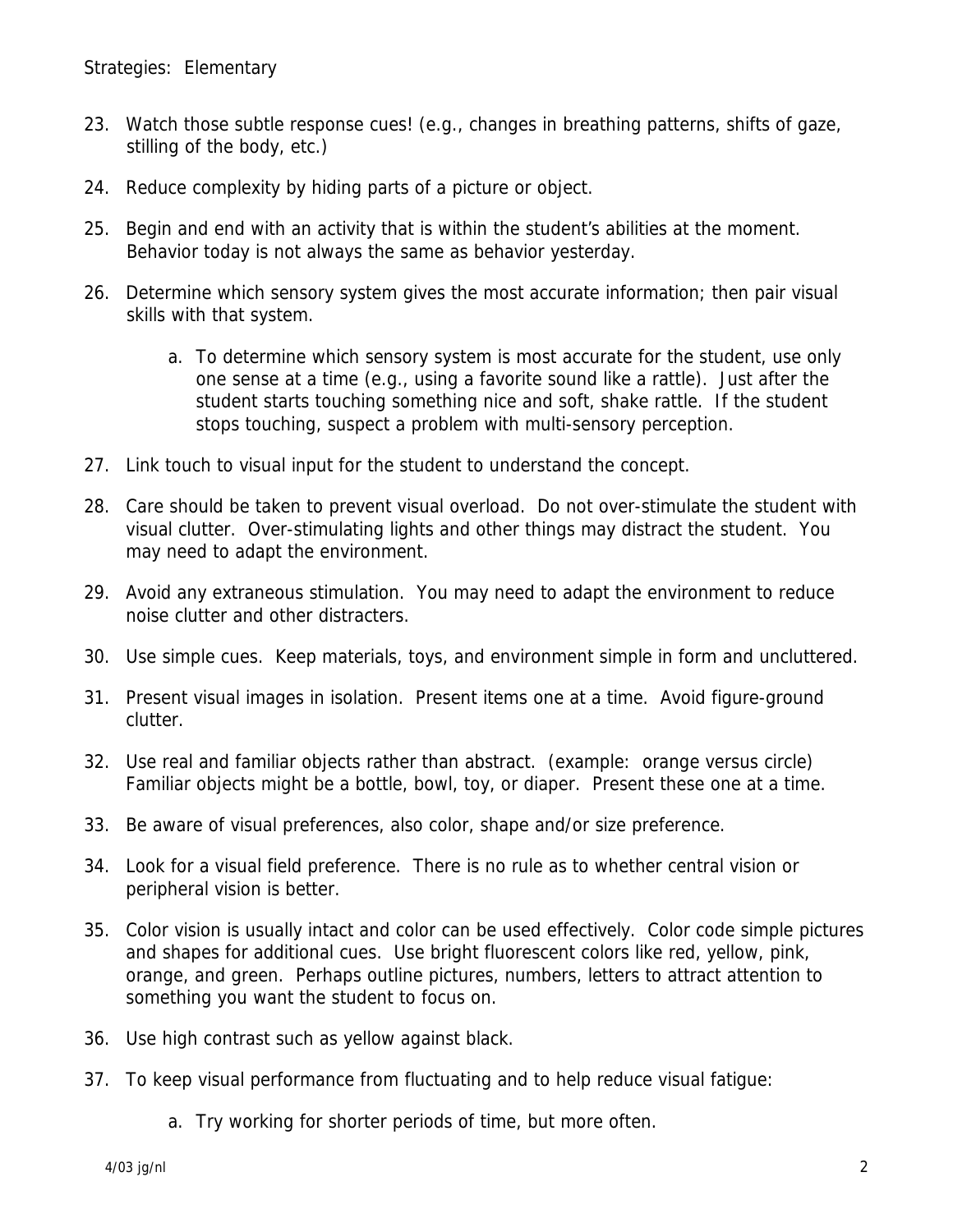- 23. Watch those subtle response cues! (e.g., changes in breathing patterns, shifts of gaze, stilling of the body, etc.)
- 24. Reduce complexity by hiding parts of a picture or object.
- 25. Begin and end with an activity that is within the student's abilities at the moment. Behavior today is not always the same as behavior yesterday.
- 26. Determine which sensory system gives the most accurate information; then pair visual skills with that system.
	- a. To determine which sensory system is most accurate for the student, use only one sense at a time (e.g., using a favorite sound like a rattle). Just after the student starts touching something nice and soft, shake rattle. If the student stops touching, suspect a problem with multi-sensory perception.
- 27. Link touch to visual input for the student to understand the concept.
- 28. Care should be taken to prevent visual overload. Do not over-stimulate the student with visual clutter. Over-stimulating lights and other things may distract the student. You may need to adapt the environment.
- 29. Avoid any extraneous stimulation. You may need to adapt the environment to reduce noise clutter and other distracters.
- 30. Use simple cues. Keep materials, toys, and environment simple in form and uncluttered.
- 31. Present visual images in isolation. Present items one at a time. Avoid figure-ground clutter.
- 32. Use real and familiar objects rather than abstract. (example: orange versus circle) Familiar objects might be a bottle, bowl, toy, or diaper. Present these one at a time.
- 33. Be aware of visual preferences, also color, shape and/or size preference.
- 34. Look for a visual field preference. There is no rule as to whether central vision or peripheral vision is better.
- 35. Color vision is usually intact and color can be used effectively. Color code simple pictures and shapes for additional cues. Use bright fluorescent colors like red, yellow, pink, orange, and green. Perhaps outline pictures, numbers, letters to attract attention to something you want the student to focus on.
- 36. Use high contrast such as yellow against black.
- 37. To keep visual performance from fluctuating and to help reduce visual fatigue:
	- a. Try working for shorter periods of time, but more often.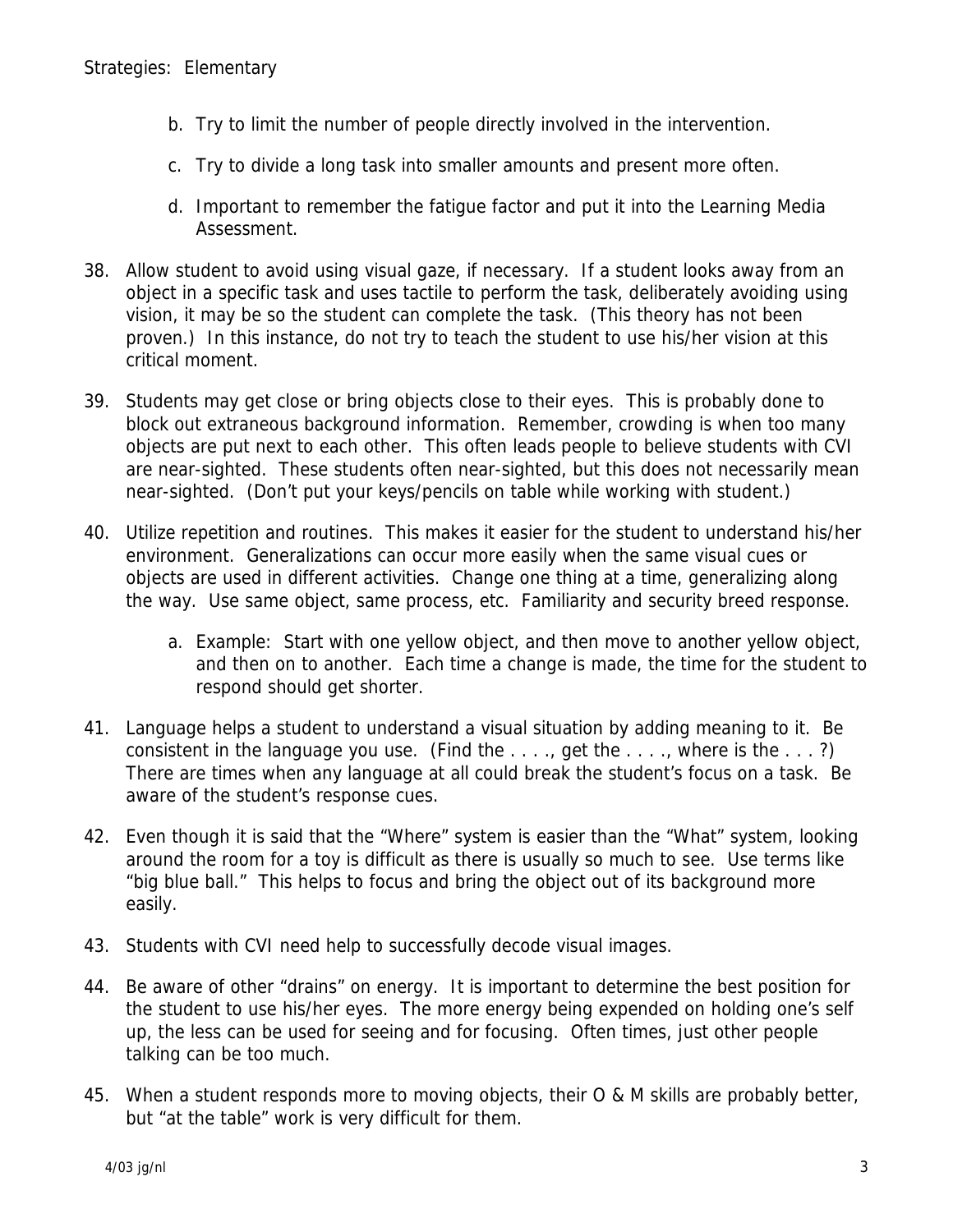- b. Try to limit the number of people directly involved in the intervention.
- c. Try to divide a long task into smaller amounts and present more often.
- d. Important to remember the fatigue factor and put it into the Learning Media Assessment.
- 38. Allow student to avoid using visual gaze, if necessary. If a student looks away from an object in a specific task and uses tactile to perform the task, deliberately avoiding using vision, it may be so the student can complete the task. (This theory has not been proven.) In this instance, do not try to teach the student to use his/her vision at this critical moment.
- 39. Students may get close or bring objects close to their eyes. This is probably done to block out extraneous background information. Remember, crowding is when too many objects are put next to each other. This often leads people to believe students with CVI are near-sighted. These students often near-sighted, but this does not necessarily mean near-sighted. (Don't put your keys/pencils on table while working with student.)
- 40. Utilize repetition and routines. This makes it easier for the student to understand his/her environment. Generalizations can occur more easily when the same visual cues or objects are used in different activities. Change one thing at a time, generalizing along the way. Use same object, same process, etc. Familiarity and security breed response.
	- a. Example: Start with one yellow object, and then move to another yellow object, and then on to another. Each time a change is made, the time for the student to respond should get shorter.
- 41. Language helps a student to understand a visual situation by adding meaning to it. Be consistent in the language you use. (Find the  $\dots$ , get the  $\dots$ , where is the  $\dots$ ?) There are times when any language at all could break the student's focus on a task. Be aware of the student's response cues.
- 42. Even though it is said that the "Where" system is easier than the "What" system, looking around the room for a toy is difficult as there is usually so much to see. Use terms like "big blue ball." This helps to focus and bring the object out of its background more easily.
- 43. Students with CVI need help to successfully decode visual images.
- 44. Be aware of other "drains" on energy. It is important to determine the best position for the student to use his/her eyes. The more energy being expended on holding one's self up, the less can be used for seeing and for focusing. Often times, just other people talking can be too much.
- 45. When a student responds more to moving objects, their O & M skills are probably better, but "at the table" work is very difficult for them.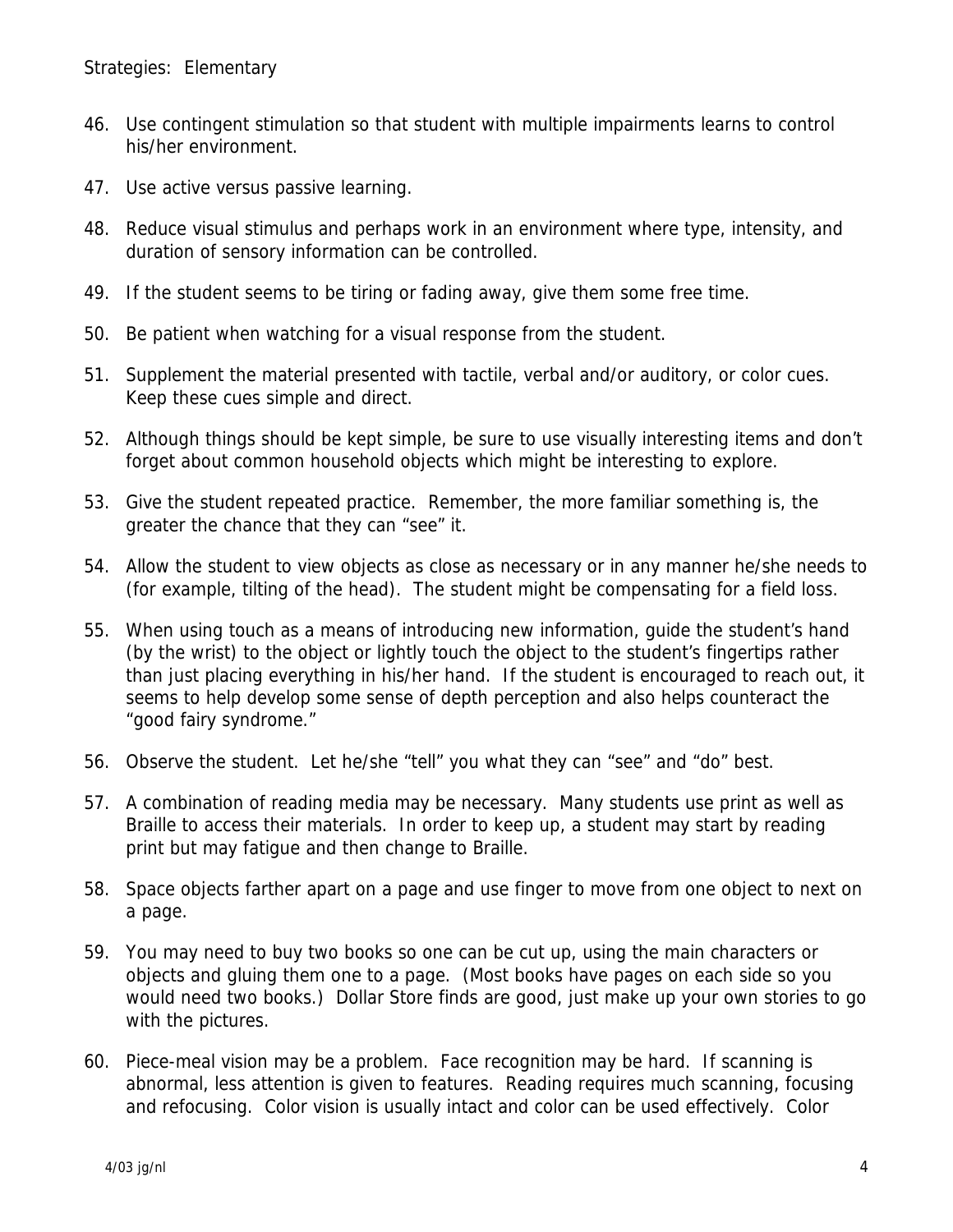- 46. Use contingent stimulation so that student with multiple impairments learns to control his/her environment.
- 47. Use active versus passive learning.
- 48. Reduce visual stimulus and perhaps work in an environment where type, intensity, and duration of sensory information can be controlled.
- 49. If the student seems to be tiring or fading away, give them some free time.
- 50. Be patient when watching for a visual response from the student.
- 51. Supplement the material presented with tactile, verbal and/or auditory, or color cues. Keep these cues simple and direct.
- 52. Although things should be kept simple, be sure to use visually interesting items and don't forget about common household objects which might be interesting to explore.
- 53. Give the student repeated practice. Remember, the more familiar something is, the greater the chance that they can "see" it.
- 54. Allow the student to view objects as close as necessary or in any manner he/she needs to (for example, tilting of the head). The student might be compensating for a field loss.
- 55. When using touch as a means of introducing new information, guide the student's hand (by the wrist) to the object or lightly touch the object to the student's fingertips rather than just placing everything in his/her hand. If the student is encouraged to reach out, it seems to help develop some sense of depth perception and also helps counteract the "good fairy syndrome."
- 56. Observe the student. Let he/she "tell" you what they can "see" and "do" best.
- 57. A combination of reading media may be necessary. Many students use print as well as Braille to access their materials. In order to keep up, a student may start by reading print but may fatigue and then change to Braille.
- 58. Space objects farther apart on a page and use finger to move from one object to next on a page.
- 59. You may need to buy two books so one can be cut up, using the main characters or objects and gluing them one to a page. (Most books have pages on each side so you would need two books.) Dollar Store finds are good, just make up your own stories to go with the pictures.
- 60. Piece-meal vision may be a problem. Face recognition may be hard. If scanning is abnormal, less attention is given to features. Reading requires much scanning, focusing and refocusing. Color vision is usually intact and color can be used effectively. Color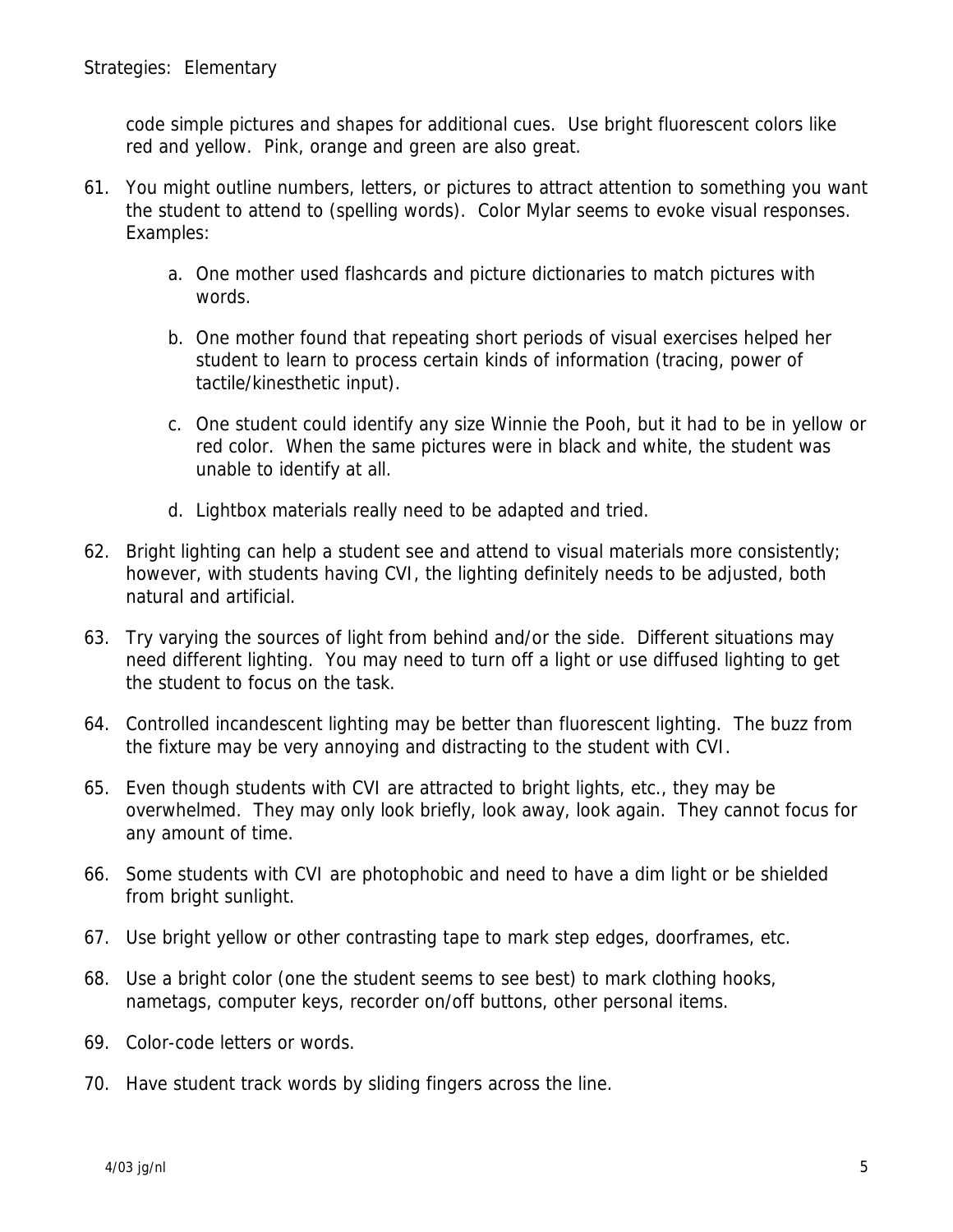code simple pictures and shapes for additional cues. Use bright fluorescent colors like red and yellow. Pink, orange and green are also great.

- 61. You might outline numbers, letters, or pictures to attract attention to something you want the student to attend to (spelling words). Color Mylar seems to evoke visual responses. Examples:
	- a. One mother used flashcards and picture dictionaries to match pictures with words.
	- b. One mother found that repeating short periods of visual exercises helped her student to learn to process certain kinds of information (tracing, power of tactile/kinesthetic input).
	- c. One student could identify any size Winnie the Pooh, but it had to be in yellow or red color. When the same pictures were in black and white, the student was unable to identify at all.
	- d. Lightbox materials really need to be adapted and tried.
- 62. Bright lighting can help a student see and attend to visual materials more consistently; however, with students having CVI, the lighting definitely needs to be adjusted, both natural and artificial.
- 63. Try varying the sources of light from behind and/or the side. Different situations may need different lighting. You may need to turn off a light or use diffused lighting to get the student to focus on the task.
- 64. Controlled incandescent lighting may be better than fluorescent lighting. The buzz from the fixture may be very annoying and distracting to the student with CVI.
- 65. Even though students with CVI are attracted to bright lights, etc., they may be overwhelmed. They may only look briefly, look away, look again. They cannot focus for any amount of time.
- 66. Some students with CVI are photophobic and need to have a dim light or be shielded from bright sunlight.
- 67. Use bright yellow or other contrasting tape to mark step edges, doorframes, etc.
- 68. Use a bright color (one the student seems to see best) to mark clothing hooks, nametags, computer keys, recorder on/off buttons, other personal items.
- 69. Color-code letters or words.
- 70. Have student track words by sliding fingers across the line.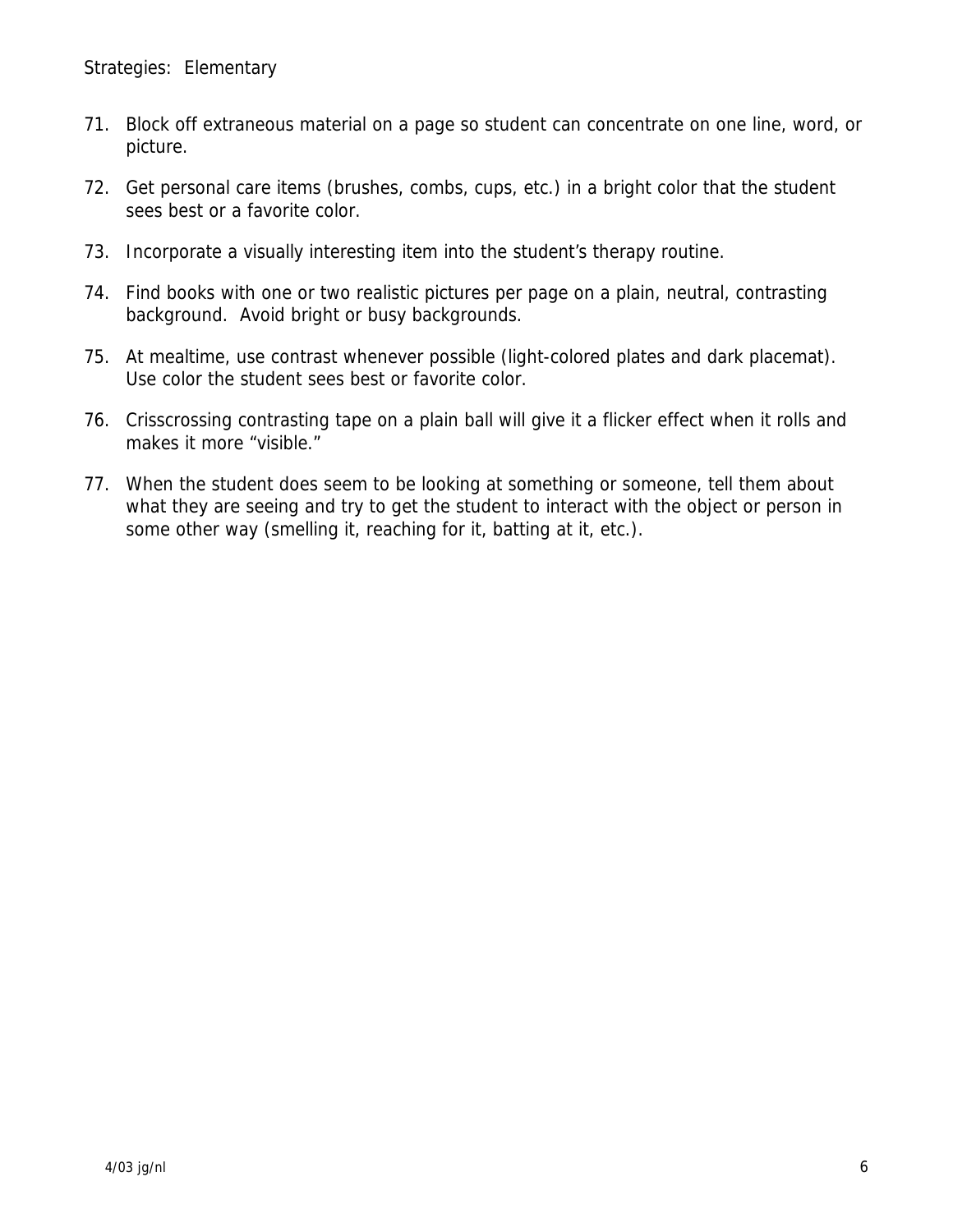- 71. Block off extraneous material on a page so student can concentrate on one line, word, or picture.
- 72. Get personal care items (brushes, combs, cups, etc.) in a bright color that the student sees best or a favorite color.
- 73. Incorporate a visually interesting item into the student's therapy routine.
- 74. Find books with one or two realistic pictures per page on a plain, neutral, contrasting background. Avoid bright or busy backgrounds.
- 75. At mealtime, use contrast whenever possible (light-colored plates and dark placemat). Use color the student sees best or favorite color.
- 76. Crisscrossing contrasting tape on a plain ball will give it a flicker effect when it rolls and makes it more "visible."
- 77. When the student does seem to be looking at something or someone, tell them about what they are seeing and try to get the student to interact with the object or person in some other way (smelling it, reaching for it, batting at it, etc.).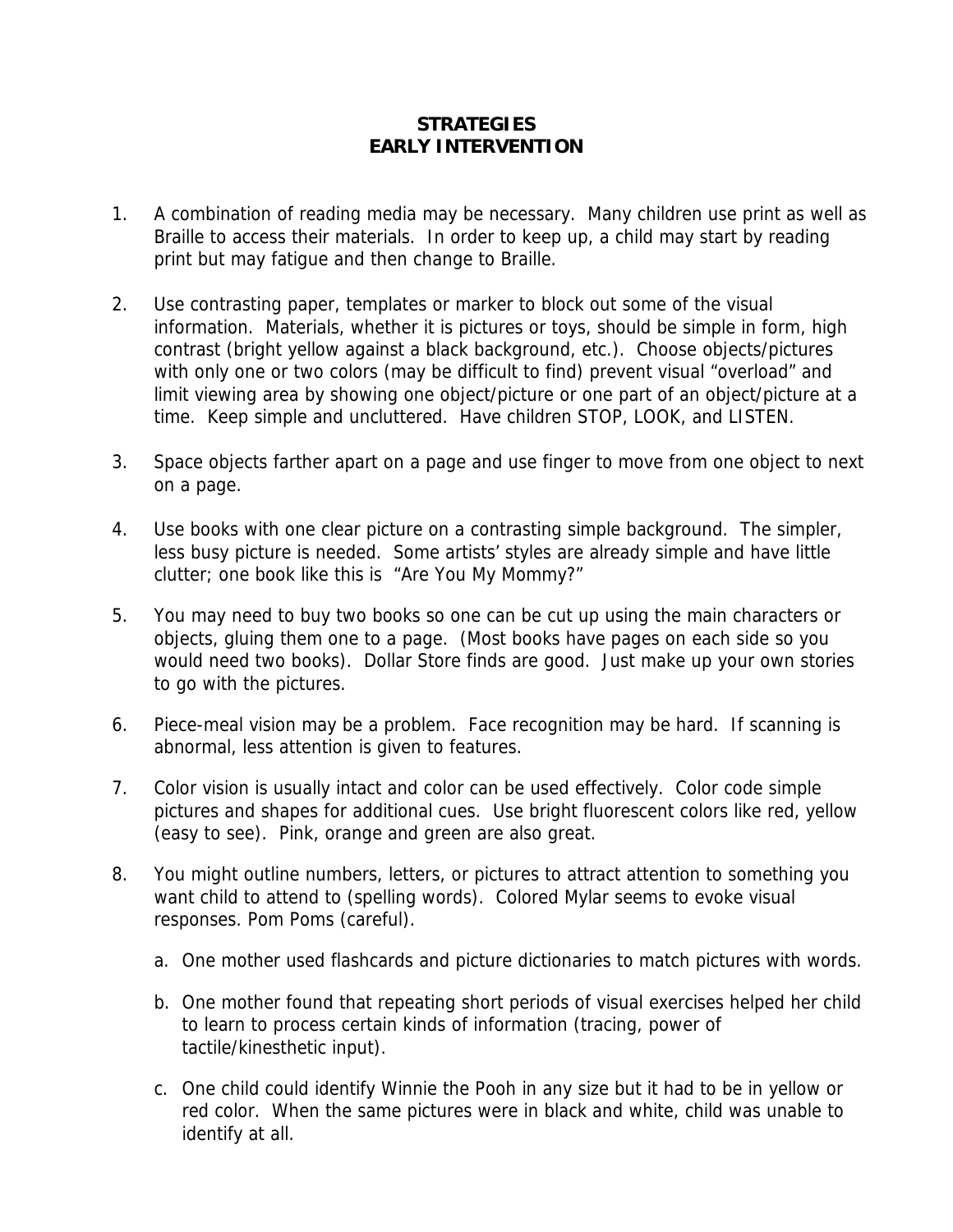## **STRATEGIES EARLY INTERVENTION**

- 1. A combination of reading media may be necessary. Many children use print as well as Braille to access their materials. In order to keep up, a child may start by reading print but may fatigue and then change to Braille.
- 2. Use contrasting paper, templates or marker to block out some of the visual information. Materials, whether it is pictures or toys, should be simple in form, high contrast (bright yellow against a black background, etc.). Choose objects/pictures with only one or two colors (may be difficult to find) prevent visual "overload" and limit viewing area by showing one object/picture or one part of an object/picture at a time. Keep simple and uncluttered. Have children STOP, LOOK, and LISTEN.
- 3. Space objects farther apart on a page and use finger to move from one object to next on a page.
- 4. Use books with one clear picture on a contrasting simple background. The simpler, less busy picture is needed. Some artists' styles are already simple and have little clutter; one book like this is "Are You My Mommy?"
- 5. You may need to buy two books so one can be cut up using the main characters or objects, gluing them one to a page. (Most books have pages on each side so you would need two books). Dollar Store finds are good. Just make up your own stories to go with the pictures.
- 6. Piece-meal vision may be a problem. Face recognition may be hard. If scanning is abnormal, less attention is given to features.
- 7. Color vision is usually intact and color can be used effectively. Color code simple pictures and shapes for additional cues. Use bright fluorescent colors like red, yellow (easy to see). Pink, orange and green are also great.
- 8. You might outline numbers, letters, or pictures to attract attention to something you want child to attend to (spelling words). Colored Mylar seems to evoke visual responses. Pom Poms (careful).
	- a. One mother used flashcards and picture dictionaries to match pictures with words.
	- b. One mother found that repeating short periods of visual exercises helped her child to learn to process certain kinds of information (tracing, power of tactile/kinesthetic input).
	- c. One child could identify Winnie the Pooh in any size but it had to be in yellow or red color. When the same pictures were in black and white, child was unable to identify at all.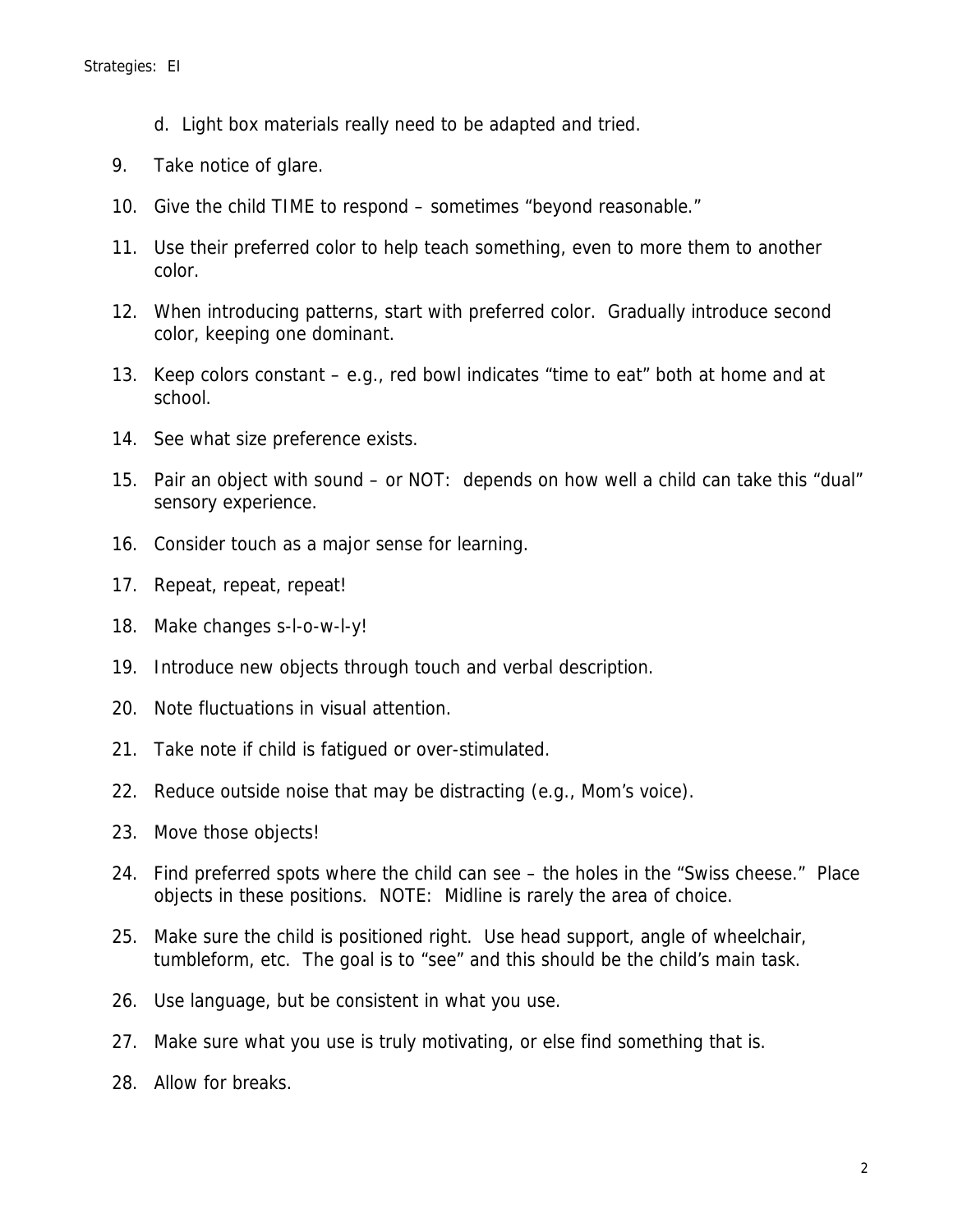- d. Light box materials really need to be adapted and tried.
- 9. Take notice of glare.
- 10. Give the child TIME to respond sometimes "beyond reasonable."
- 11. Use their preferred color to help teach something, even to more them to another color.
- 12. When introducing patterns, start with preferred color. Gradually introduce second color, keeping one dominant.
- 13. Keep colors constant e.g., red bowl indicates "time to eat" both at home and at school.
- 14. See what size preference exists.
- 15. Pair an object with sound or NOT: depends on how well a child can take this "dual" sensory experience.
- 16. Consider touch as a major sense for learning.
- 17. Repeat, repeat, repeat!
- 18. Make changes s-l-o-w-l-y!
- 19. Introduce new objects through touch and verbal description.
- 20. Note fluctuations in visual attention.
- 21. Take note if child is fatigued or over-stimulated.
- 22. Reduce outside noise that may be distracting (e.g., Mom's voice).
- 23. Move those objects!
- 24. Find preferred spots where the child can see the holes in the "Swiss cheese." Place objects in these positions. NOTE: Midline is rarely the area of choice.
- 25. Make sure the child is positioned right. Use head support, angle of wheelchair, tumbleform, etc. The goal is to "see" and this should be the child's main task.
- 26. Use language, but be consistent in what you use.
- 27. Make sure what you use is truly motivating, or else find something that is.
- 28. Allow for breaks.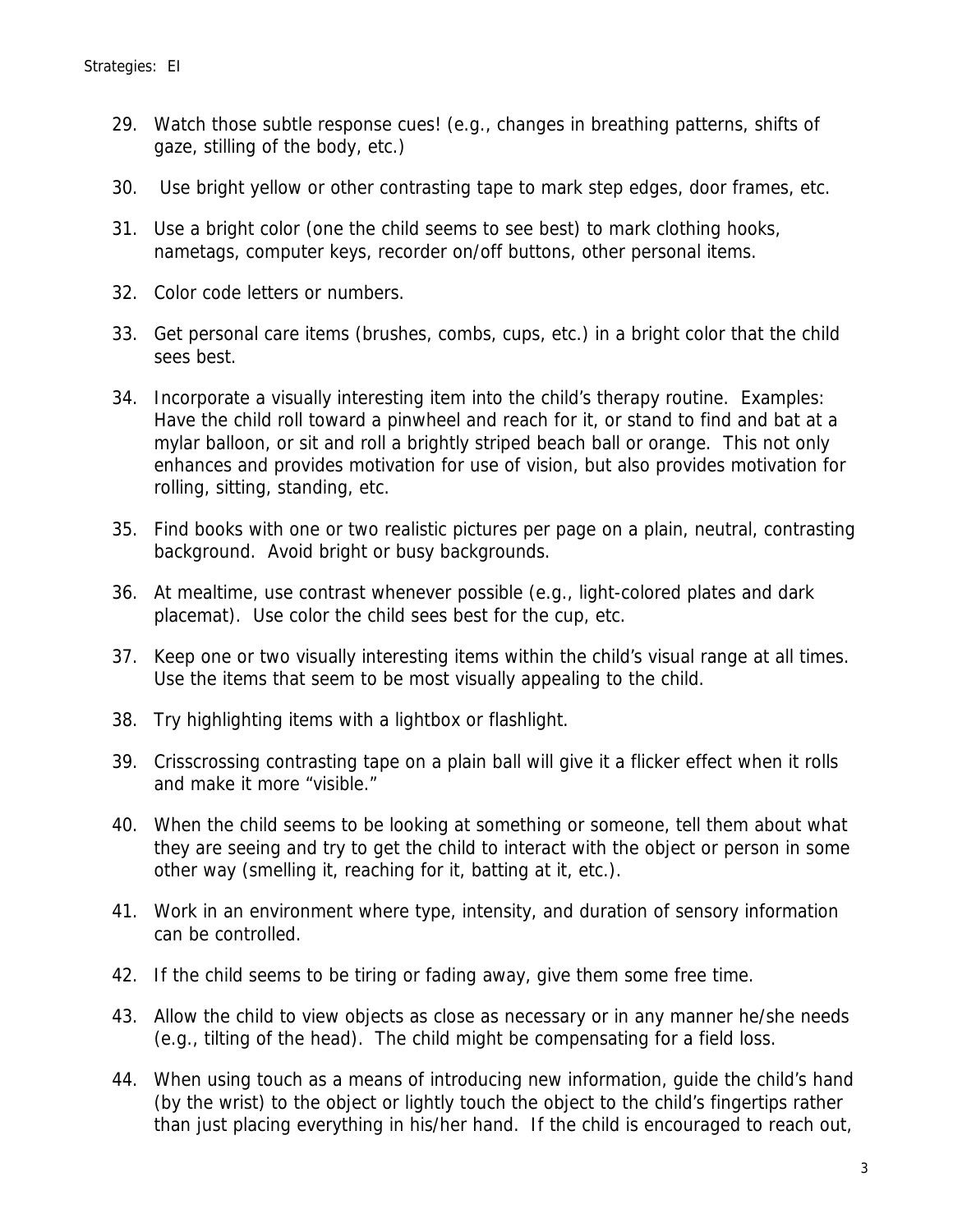- 29. Watch those subtle response cues! (e.g., changes in breathing patterns, shifts of gaze, stilling of the body, etc.)
- 30. Use bright yellow or other contrasting tape to mark step edges, door frames, etc.
- 31. Use a bright color (one the child seems to see best) to mark clothing hooks, nametags, computer keys, recorder on/off buttons, other personal items.
- 32. Color code letters or numbers.
- 33. Get personal care items (brushes, combs, cups, etc.) in a bright color that the child sees best.
- 34. Incorporate a visually interesting item into the child's therapy routine. Examples: Have the child roll toward a pinwheel and reach for it, or stand to find and bat at a mylar balloon, or sit and roll a brightly striped beach ball or orange. This not only enhances and provides motivation for use of vision, but also provides motivation for rolling, sitting, standing, etc.
- 35. Find books with one or two realistic pictures per page on a plain, neutral, contrasting background. Avoid bright or busy backgrounds.
- 36. At mealtime, use contrast whenever possible (e.g., light-colored plates and dark placemat). Use color the child sees best for the cup, etc.
- 37. Keep one or two visually interesting items within the child's visual range at all times. Use the items that seem to be most visually appealing to the child.
- 38. Try highlighting items with a lightbox or flashlight.
- 39. Crisscrossing contrasting tape on a plain ball will give it a flicker effect when it rolls and make it more "visible."
- 40. When the child seems to be looking at something or someone, tell them about what they are seeing and try to get the child to interact with the object or person in some other way (smelling it, reaching for it, batting at it, etc.).
- 41. Work in an environment where type, intensity, and duration of sensory information can be controlled.
- 42. If the child seems to be tiring or fading away, give them some free time.
- 43. Allow the child to view objects as close as necessary or in any manner he/she needs (e.g., tilting of the head). The child might be compensating for a field loss.
- 44. When using touch as a means of introducing new information, guide the child's hand (by the wrist) to the object or lightly touch the object to the child's fingertips rather than just placing everything in his/her hand. If the child is encouraged to reach out,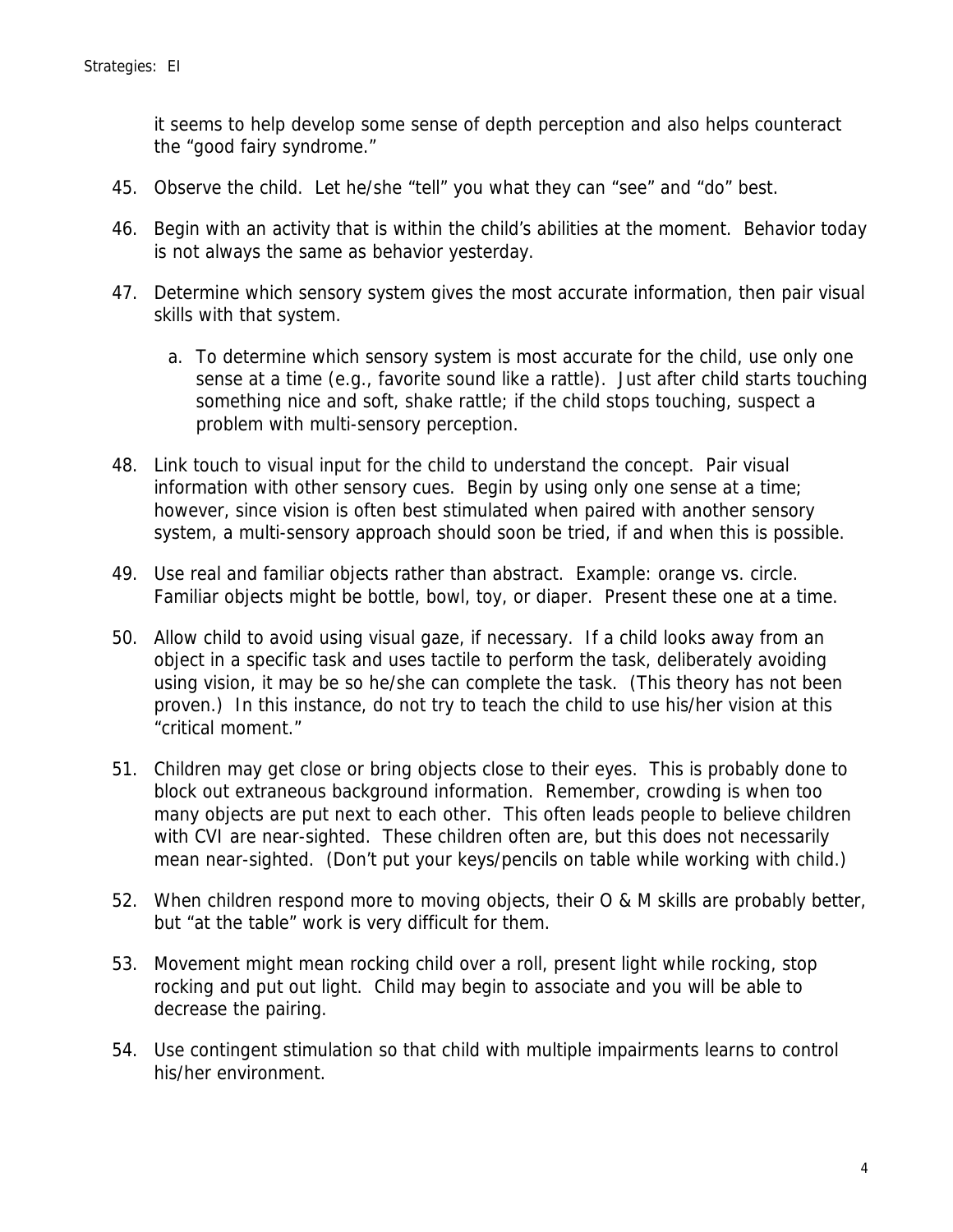it seems to help develop some sense of depth perception and also helps counteract the "good fairy syndrome."

- 45. Observe the child. Let he/she "tell" you what they can "see" and "do" best.
- 46. Begin with an activity that is within the child's abilities at the moment. Behavior today is not always the same as behavior yesterday.
- 47. Determine which sensory system gives the most accurate information, then pair visual skills with that system.
	- a. To determine which sensory system is most accurate for the child, use only one sense at a time (e.g., favorite sound like a rattle). Just after child starts touching something nice and soft, shake rattle; if the child stops touching, suspect a problem with multi-sensory perception.
- 48. Link touch to visual input for the child to understand the concept. Pair visual information with other sensory cues. Begin by using only one sense at a time; however, since vision is often best stimulated when paired with another sensory system, a multi-sensory approach should soon be tried, if and when this is possible.
- 49. Use real and familiar objects rather than abstract. Example: orange vs. circle. Familiar objects might be bottle, bowl, toy, or diaper. Present these one at a time.
- 50. Allow child to avoid using visual gaze, if necessary. If a child looks away from an object in a specific task and uses tactile to perform the task, deliberately avoiding using vision, it may be so he/she can complete the task. (This theory has not been proven.) In this instance, do not try to teach the child to use his/her vision at this "critical moment."
- 51. Children may get close or bring objects close to their eyes. This is probably done to block out extraneous background information. Remember, crowding is when too many objects are put next to each other. This often leads people to believe children with CVI are near-sighted. These children often are, but this does not necessarily mean near-sighted. (Don't put your keys/pencils on table while working with child.)
- 52. When children respond more to moving objects, their O & M skills are probably better, but "at the table" work is very difficult for them.
- 53. Movement might mean rocking child over a roll, present light while rocking, stop rocking and put out light. Child may begin to associate and you will be able to decrease the pairing.
- 54. Use contingent stimulation so that child with multiple impairments learns to control his/her environment.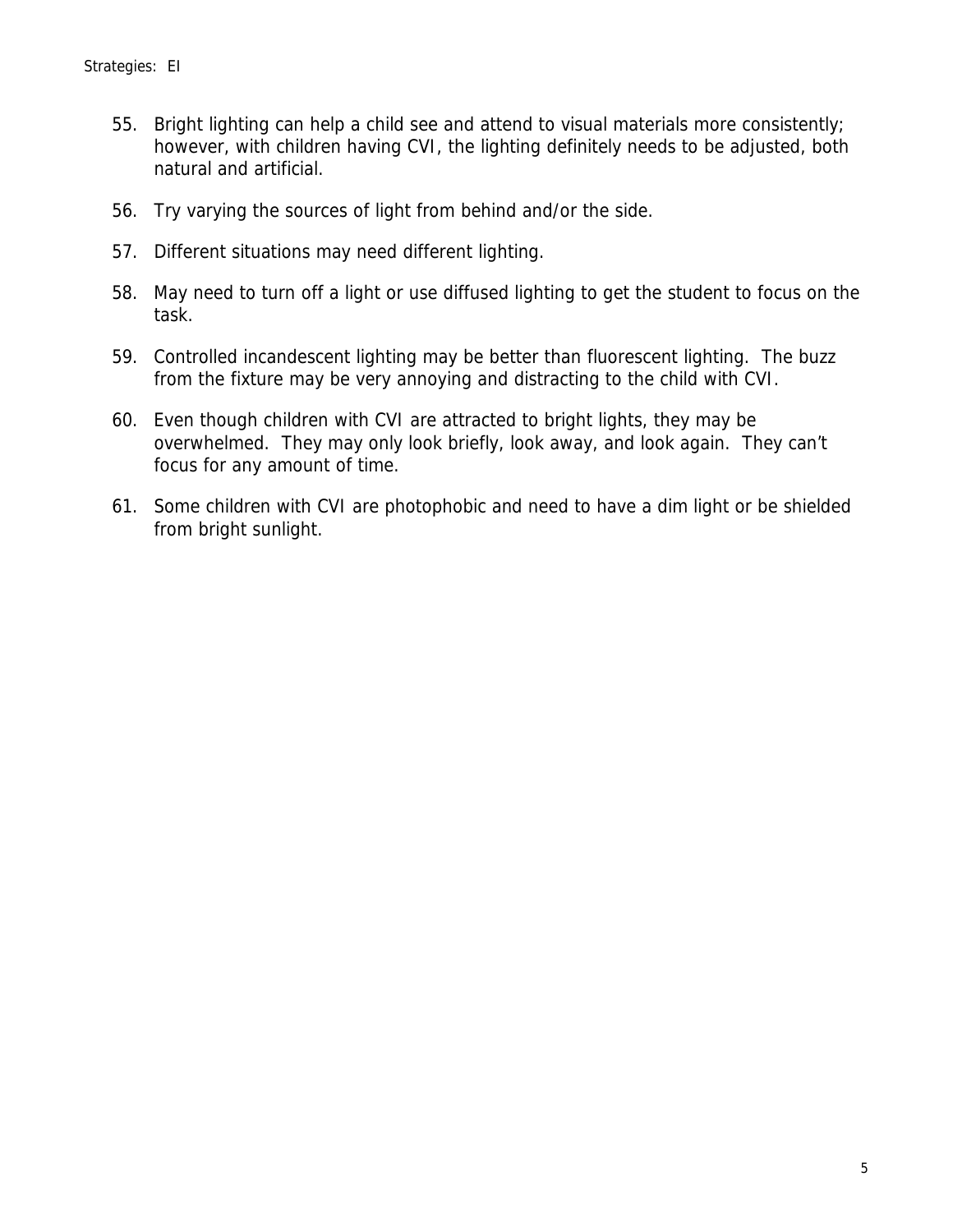- 55. Bright lighting can help a child see and attend to visual materials more consistently; however, with children having CVI, the lighting definitely needs to be adjusted, both natural and artificial.
- 56. Try varying the sources of light from behind and/or the side.
- 57. Different situations may need different lighting.
- 58. May need to turn off a light or use diffused lighting to get the student to focus on the task.
- 59. Controlled incandescent lighting may be better than fluorescent lighting. The buzz from the fixture may be very annoying and distracting to the child with CVI.
- 60. Even though children with CVI are attracted to bright lights, they may be overwhelmed. They may only look briefly, look away, and look again. They can't focus for any amount of time.
- 61. Some children with CVI are photophobic and need to have a dim light or be shielded from bright sunlight.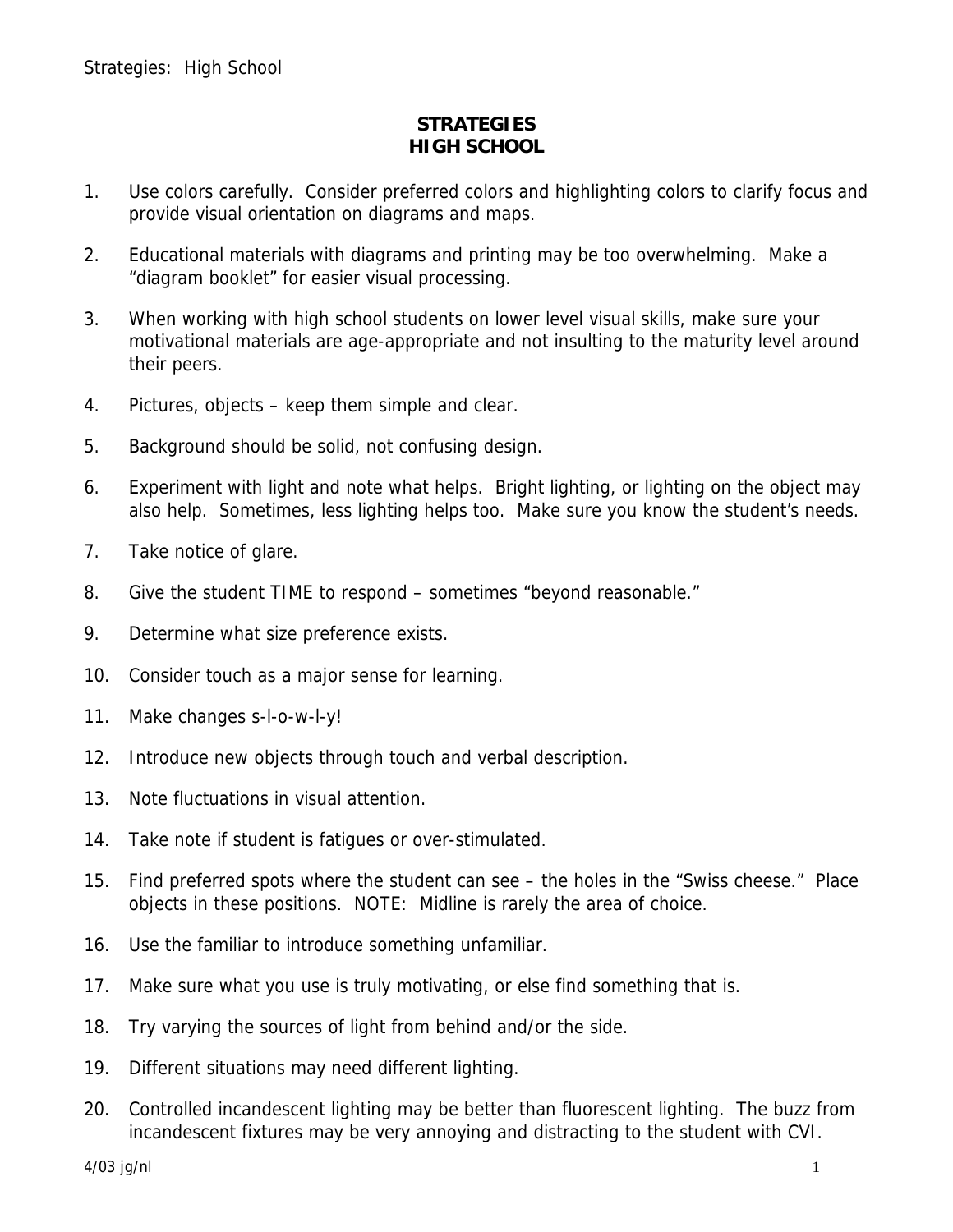### **STRATEGIES HIGH SCHOOL**

- 1. Use colors carefully. Consider preferred colors and highlighting colors to clarify focus and provide visual orientation on diagrams and maps.
- 2. Educational materials with diagrams and printing may be too overwhelming. Make a "diagram booklet" for easier visual processing.
- 3. When working with high school students on lower level visual skills, make sure your motivational materials are age-appropriate and not insulting to the maturity level around their peers.
- 4. Pictures, objects keep them simple and clear.
- 5. Background should be solid, not confusing design.
- 6. Experiment with light and note what helps. Bright lighting, or lighting on the object may also help. Sometimes, less lighting helps too. Make sure you know the student's needs.
- 7. Take notice of glare.
- 8. Give the student TIME to respond sometimes "beyond reasonable."
- 9. Determine what size preference exists.
- 10. Consider touch as a major sense for learning.
- 11. Make changes s-l-o-w-l-y!
- 12. Introduce new objects through touch and verbal description.
- 13. Note fluctuations in visual attention.
- 14. Take note if student is fatigues or over-stimulated.
- 15. Find preferred spots where the student can see the holes in the "Swiss cheese." Place objects in these positions. NOTE: Midline is rarely the area of choice.
- 16. Use the familiar to introduce something unfamiliar.
- 17. Make sure what you use is truly motivating, or else find something that is.
- 18. Try varying the sources of light from behind and/or the side.
- 19. Different situations may need different lighting.
- 20. Controlled incandescent lighting may be better than fluorescent lighting. The buzz from incandescent fixtures may be very annoying and distracting to the student with CVI.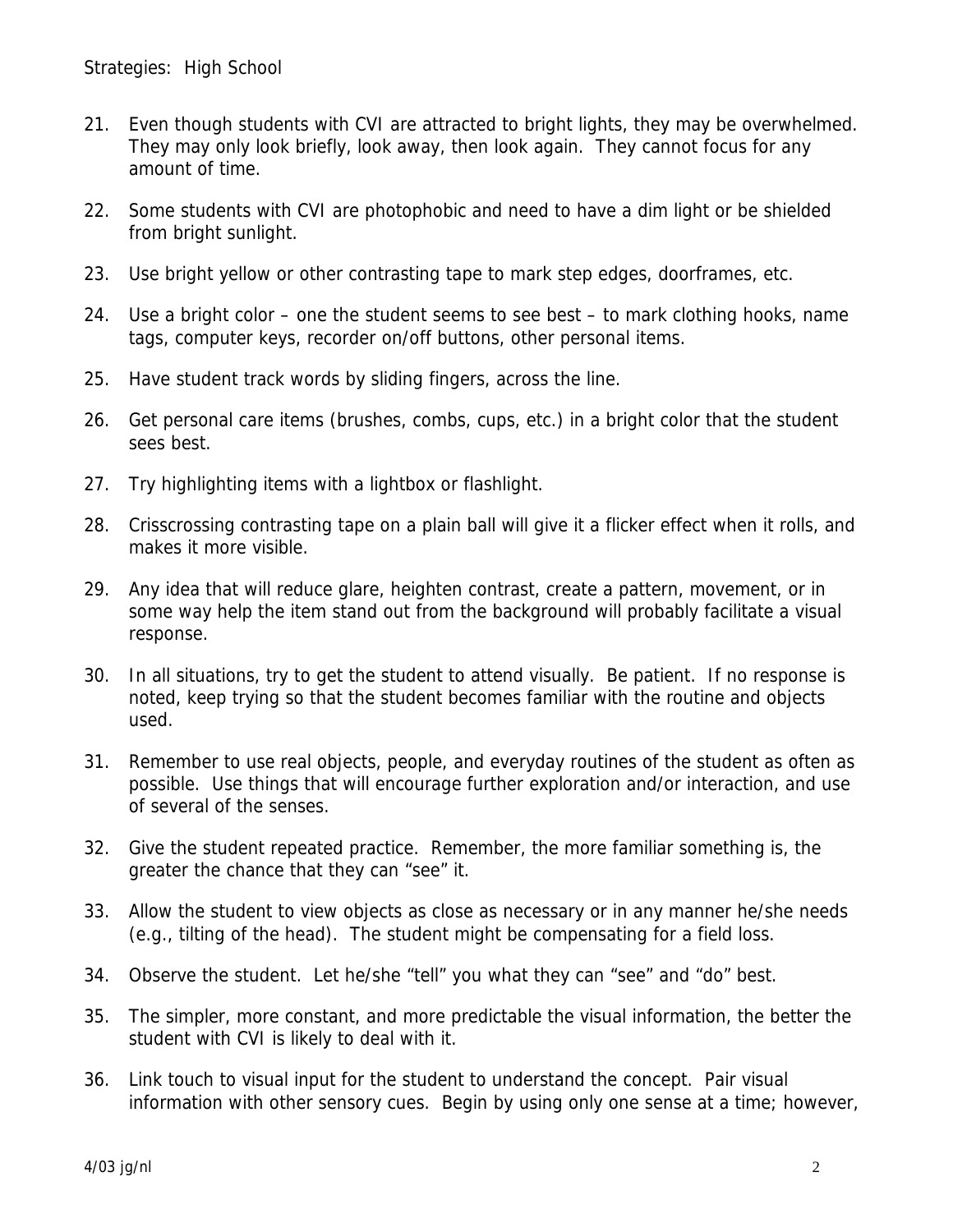- 21. Even though students with CVI are attracted to bright lights, they may be overwhelmed. They may only look briefly, look away, then look again. They cannot focus for any amount of time.
- 22. Some students with CVI are photophobic and need to have a dim light or be shielded from bright sunlight.
- 23. Use bright yellow or other contrasting tape to mark step edges, doorframes, etc.
- 24. Use a bright color one the student seems to see best to mark clothing hooks, name tags, computer keys, recorder on/off buttons, other personal items.
- 25. Have student track words by sliding fingers, across the line.
- 26. Get personal care items (brushes, combs, cups, etc.) in a bright color that the student sees best.
- 27. Try highlighting items with a lightbox or flashlight.
- 28. Crisscrossing contrasting tape on a plain ball will give it a flicker effect when it rolls, and makes it more visible.
- 29. Any idea that will reduce glare, heighten contrast, create a pattern, movement, or in some way help the item stand out from the background will probably facilitate a visual response.
- 30. In all situations, try to get the student to attend visually. Be patient. If no response is noted, keep trying so that the student becomes familiar with the routine and objects used.
- 31. Remember to use real objects, people, and everyday routines of the student as often as possible. Use things that will encourage further exploration and/or interaction, and use of several of the senses.
- 32. Give the student repeated practice. Remember, the more familiar something is, the greater the chance that they can "see" it.
- 33. Allow the student to view objects as close as necessary or in any manner he/she needs (e.g., tilting of the head). The student might be compensating for a field loss.
- 34. Observe the student. Let he/she "tell" you what they can "see" and "do" best.
- 35. The simpler, more constant, and more predictable the visual information, the better the student with CVI is likely to deal with it.
- 36. Link touch to visual input for the student to understand the concept. Pair visual information with other sensory cues. Begin by using only one sense at a time; however,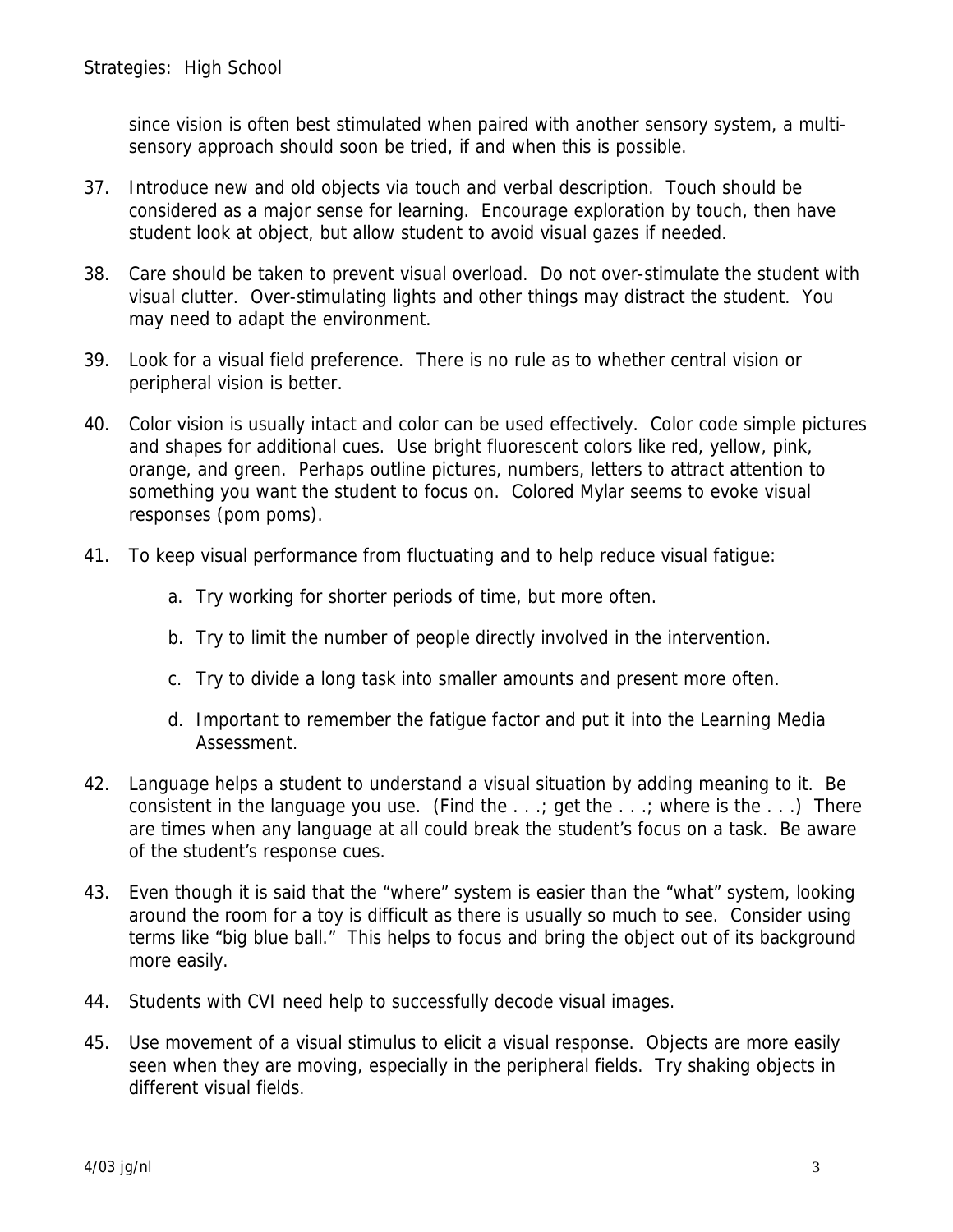since vision is often best stimulated when paired with another sensory system, a multisensory approach should soon be tried, if and when this is possible.

- 37. Introduce new and old objects via touch and verbal description. Touch should be considered as a major sense for learning. Encourage exploration by touch, then have student look at object, but allow student to avoid visual gazes if needed.
- 38. Care should be taken to prevent visual overload. Do not over-stimulate the student with visual clutter. Over-stimulating lights and other things may distract the student. You may need to adapt the environment.
- 39. Look for a visual field preference. There is no rule as to whether central vision or peripheral vision is better.
- 40. Color vision is usually intact and color can be used effectively. Color code simple pictures and shapes for additional cues. Use bright fluorescent colors like red, yellow, pink, orange, and green. Perhaps outline pictures, numbers, letters to attract attention to something you want the student to focus on. Colored Mylar seems to evoke visual responses (pom poms).
- 41. To keep visual performance from fluctuating and to help reduce visual fatigue:
	- a. Try working for shorter periods of time, but more often.
	- b. Try to limit the number of people directly involved in the intervention.
	- c. Try to divide a long task into smaller amounts and present more often.
	- d. Important to remember the fatigue factor and put it into the Learning Media Assessment.
- 42. Language helps a student to understand a visual situation by adding meaning to it. Be consistent in the language you use. (Find the  $\ldots$ ; get the  $\ldots$ ; where is the  $\ldots$ ) There are times when any language at all could break the student's focus on a task. Be aware of the student's response cues.
- 43. Even though it is said that the "where" system is easier than the "what" system, looking around the room for a toy is difficult as there is usually so much to see. Consider using terms like "big blue ball." This helps to focus and bring the object out of its background more easily.
- 44. Students with CVI need help to successfully decode visual images.
- 45. Use movement of a visual stimulus to elicit a visual response. Objects are more easily seen when they are moving, especially in the peripheral fields. Try shaking objects in different visual fields.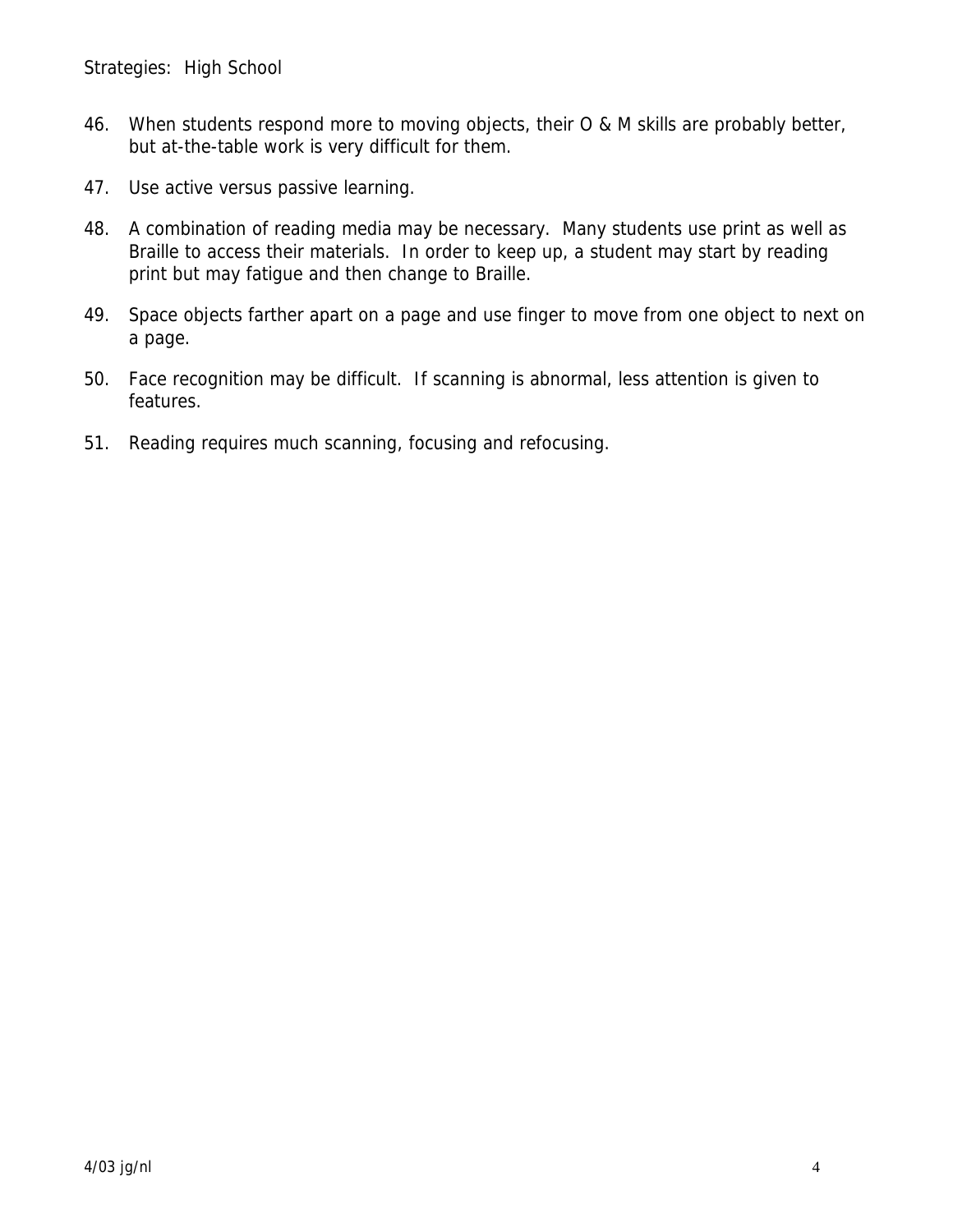- 46. When students respond more to moving objects, their O & M skills are probably better, but at-the-table work is very difficult for them.
- 47. Use active versus passive learning.
- 48. A combination of reading media may be necessary. Many students use print as well as Braille to access their materials. In order to keep up, a student may start by reading print but may fatigue and then change to Braille.
- 49. Space objects farther apart on a page and use finger to move from one object to next on a page.
- 50. Face recognition may be difficult. If scanning is abnormal, less attention is given to features.
- 51. Reading requires much scanning, focusing and refocusing.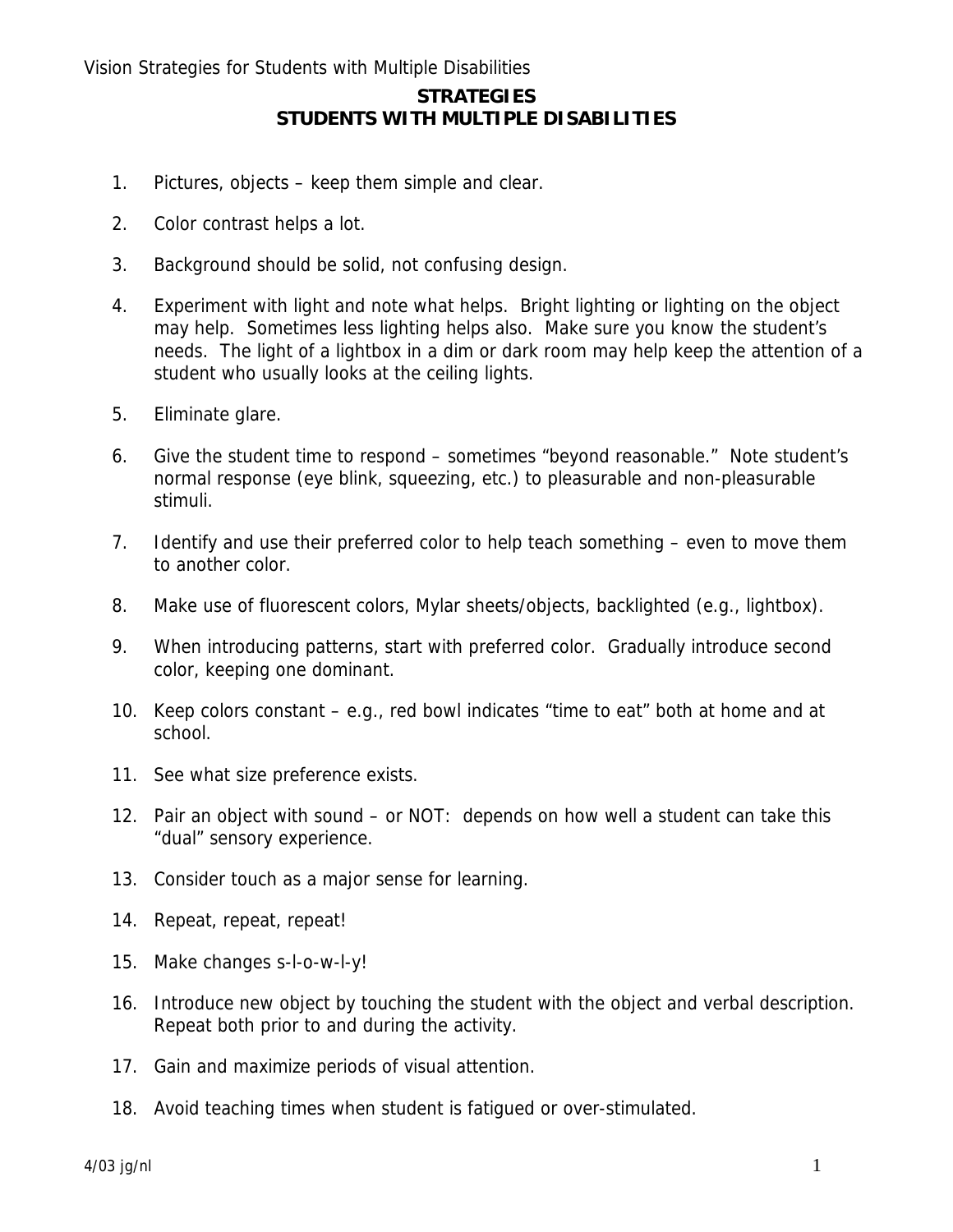# **STUDENTS WITH MULTIPLE DISABILITIES**

- 1. Pictures, objects keep them simple and clear.
- 2. Color contrast helps a lot.
- 3. Background should be solid, not confusing design.
- 4. Experiment with light and note what helps. Bright lighting or lighting on the object may help. Sometimes less lighting helps also. Make sure you know the student's needs. The light of a lightbox in a dim or dark room may help keep the attention of a student who usually looks at the ceiling lights.
- 5. Eliminate glare.
- 6. Give the student time to respond sometimes "beyond reasonable." Note student's normal response (eye blink, squeezing, etc.) to pleasurable and non-pleasurable stimuli.
- 7. Identify and use their preferred color to help teach something even to move them to another color.
- 8. Make use of fluorescent colors, Mylar sheets/objects, backlighted (e.g., lightbox).
- 9. When introducing patterns, start with preferred color. Gradually introduce second color, keeping one dominant.
- 10. Keep colors constant e.g., red bowl indicates "time to eat" both at home and at school.
- 11. See what size preference exists.
- 12. Pair an object with sound or NOT: depends on how well a student can take this "dual" sensory experience.
- 13. Consider touch as a major sense for learning.
- 14. Repeat, repeat, repeat!
- 15. Make changes s-l-o-w-l-y!
- 16. Introduce new object by touching the student with the object and verbal description. Repeat both prior to and during the activity.
- 17. Gain and maximize periods of visual attention.
- 18. Avoid teaching times when student is fatigued or over-stimulated.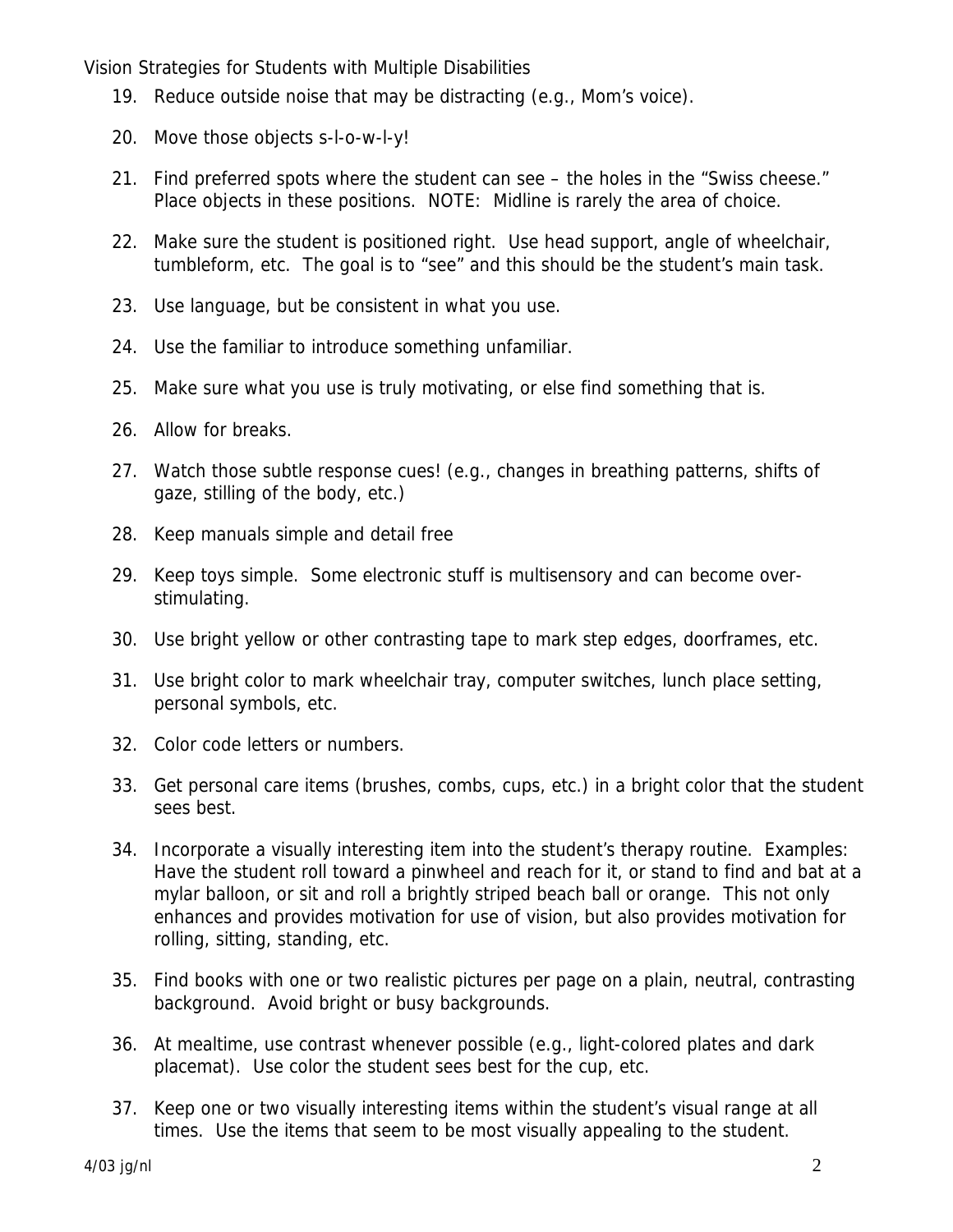- 19. Reduce outside noise that may be distracting (e.g., Mom's voice).
- 20. Move those objects s-l-o-w-l-y!
- 21. Find preferred spots where the student can see the holes in the "Swiss cheese." Place objects in these positions. NOTE: Midline is rarely the area of choice.
- 22. Make sure the student is positioned right. Use head support, angle of wheelchair, tumbleform, etc. The goal is to "see" and this should be the student's main task.
- 23. Use language, but be consistent in what you use.
- 24. Use the familiar to introduce something unfamiliar.
- 25. Make sure what you use is truly motivating, or else find something that is.
- 26. Allow for breaks.
- 27. Watch those subtle response cues! (e.g., changes in breathing patterns, shifts of gaze, stilling of the body, etc.)
- 28. Keep manuals simple and detail free
- 29. Keep toys simple. Some electronic stuff is multisensory and can become overstimulating.
- 30. Use bright yellow or other contrasting tape to mark step edges, doorframes, etc.
- 31. Use bright color to mark wheelchair tray, computer switches, lunch place setting, personal symbols, etc.
- 32. Color code letters or numbers.
- 33. Get personal care items (brushes, combs, cups, etc.) in a bright color that the student sees best.
- 34. Incorporate a visually interesting item into the student's therapy routine. Examples: Have the student roll toward a pinwheel and reach for it, or stand to find and bat at a mylar balloon, or sit and roll a brightly striped beach ball or orange. This not only enhances and provides motivation for use of vision, but also provides motivation for rolling, sitting, standing, etc.
- 35. Find books with one or two realistic pictures per page on a plain, neutral, contrasting background. Avoid bright or busy backgrounds.
- 36. At mealtime, use contrast whenever possible (e.g., light-colored plates and dark placemat). Use color the student sees best for the cup, etc.
- 37. Keep one or two visually interesting items within the student's visual range at all times. Use the items that seem to be most visually appealing to the student.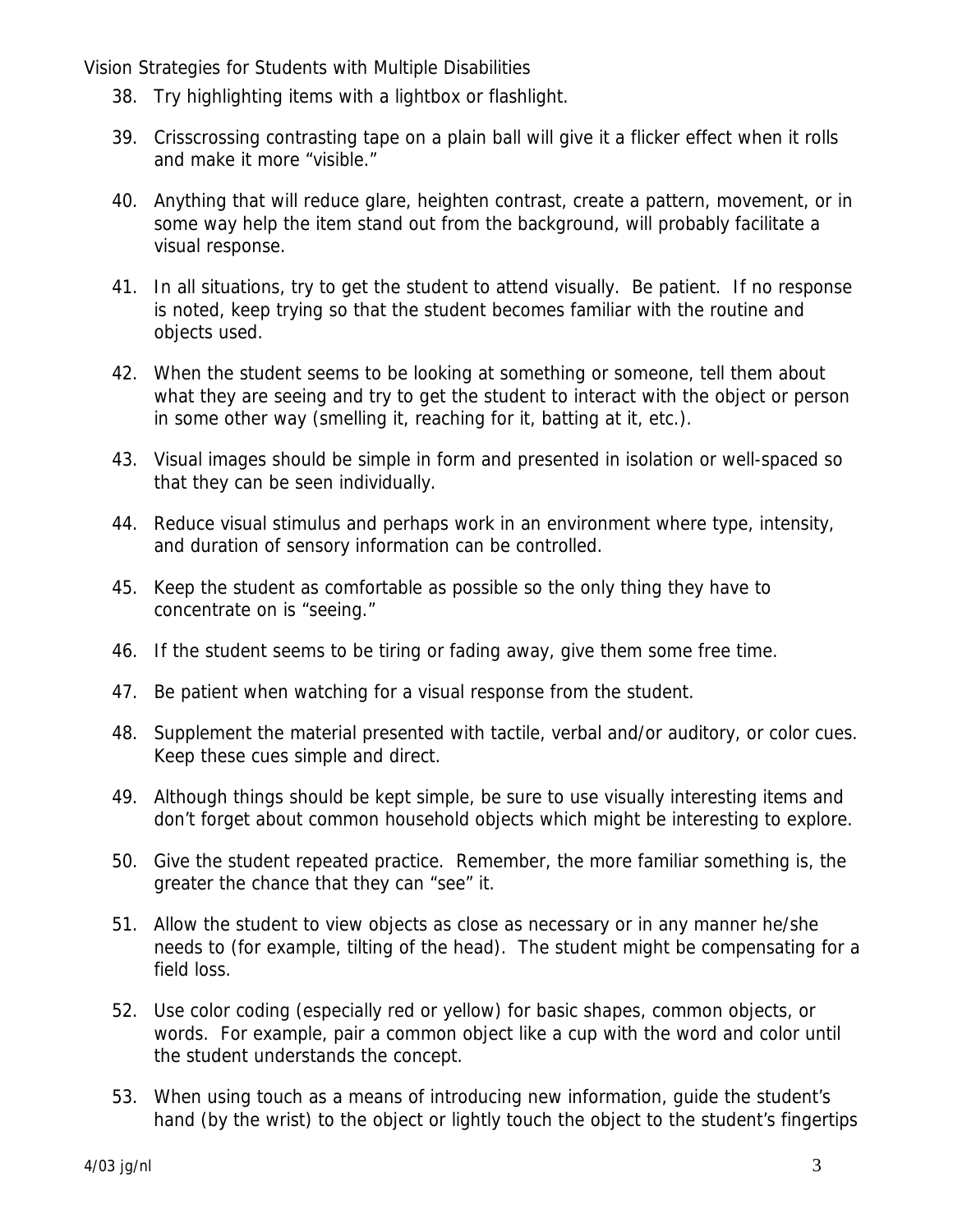- 38. Try highlighting items with a lightbox or flashlight.
- 39. Crisscrossing contrasting tape on a plain ball will give it a flicker effect when it rolls and make it more "visible."
- 40. Anything that will reduce glare, heighten contrast, create a pattern, movement, or in some way help the item stand out from the background, will probably facilitate a visual response.
- 41. In all situations, try to get the student to attend visually. Be patient. If no response is noted, keep trying so that the student becomes familiar with the routine and objects used.
- 42. When the student seems to be looking at something or someone, tell them about what they are seeing and try to get the student to interact with the object or person in some other way (smelling it, reaching for it, batting at it, etc.).
- 43. Visual images should be simple in form and presented in isolation or well-spaced so that they can be seen individually.
- 44. Reduce visual stimulus and perhaps work in an environment where type, intensity, and duration of sensory information can be controlled.
- 45. Keep the student as comfortable as possible so the only thing they have to concentrate on is "seeing."
- 46. If the student seems to be tiring or fading away, give them some free time.
- 47. Be patient when watching for a visual response from the student.
- 48. Supplement the material presented with tactile, verbal and/or auditory, or color cues. Keep these cues simple and direct.
- 49. Although things should be kept simple, be sure to use visually interesting items and don't forget about common household objects which might be interesting to explore.
- 50. Give the student repeated practice. Remember, the more familiar something is, the greater the chance that they can "see" it.
- 51. Allow the student to view objects as close as necessary or in any manner he/she needs to (for example, tilting of the head). The student might be compensating for a field loss.
- 52. Use color coding (especially red or yellow) for basic shapes, common objects, or words. For example, pair a common object like a cup with the word and color until the student understands the concept.
- 53. When using touch as a means of introducing new information, guide the student's hand (by the wrist) to the object or lightly touch the object to the student's fingertips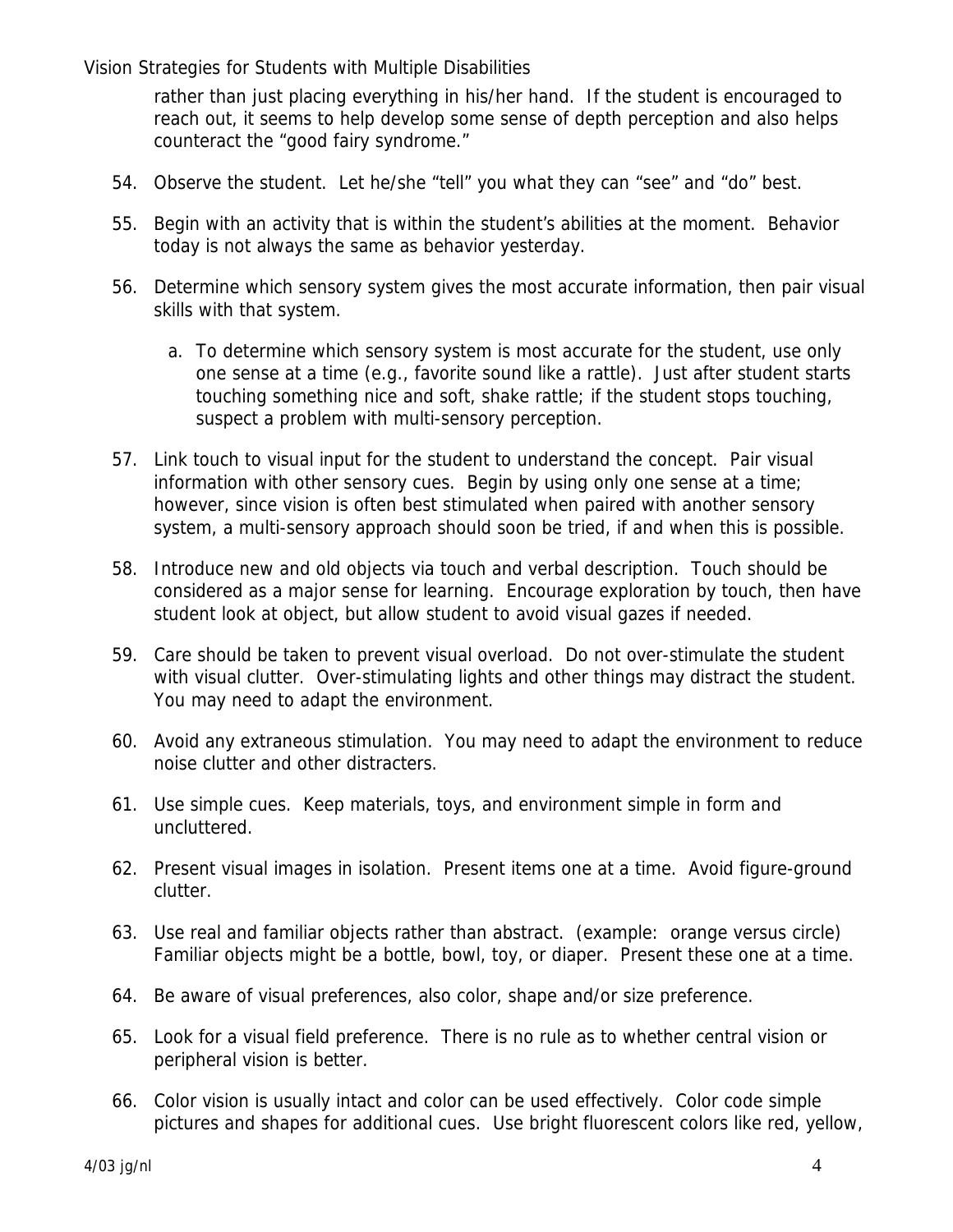rather than just placing everything in his/her hand. If the student is encouraged to reach out, it seems to help develop some sense of depth perception and also helps counteract the "good fairy syndrome."

- 54. Observe the student. Let he/she "tell" you what they can "see" and "do" best.
- 55. Begin with an activity that is within the student's abilities at the moment. Behavior today is not always the same as behavior yesterday.
- 56. Determine which sensory system gives the most accurate information, then pair visual skills with that system.
	- a. To determine which sensory system is most accurate for the student, use only one sense at a time (e.g., favorite sound like a rattle). Just after student starts touching something nice and soft, shake rattle; if the student stops touching, suspect a problem with multi-sensory perception.
- 57. Link touch to visual input for the student to understand the concept. Pair visual information with other sensory cues. Begin by using only one sense at a time; however, since vision is often best stimulated when paired with another sensory system, a multi-sensory approach should soon be tried, if and when this is possible.
- 58. Introduce new and old objects via touch and verbal description. Touch should be considered as a major sense for learning. Encourage exploration by touch, then have student look at object, but allow student to avoid visual gazes if needed.
- 59. Care should be taken to prevent visual overload. Do not over-stimulate the student with visual clutter. Over-stimulating lights and other things may distract the student. You may need to adapt the environment.
- 60. Avoid any extraneous stimulation. You may need to adapt the environment to reduce noise clutter and other distracters.
- 61. Use simple cues. Keep materials, toys, and environment simple in form and uncluttered.
- 62. Present visual images in isolation. Present items one at a time. Avoid figure-ground clutter.
- 63. Use real and familiar objects rather than abstract. (example: orange versus circle) Familiar objects might be a bottle, bowl, toy, or diaper. Present these one at a time.
- 64. Be aware of visual preferences, also color, shape and/or size preference.
- 65. Look for a visual field preference. There is no rule as to whether central vision or peripheral vision is better.
- 66. Color vision is usually intact and color can be used effectively. Color code simple pictures and shapes for additional cues. Use bright fluorescent colors like red, yellow,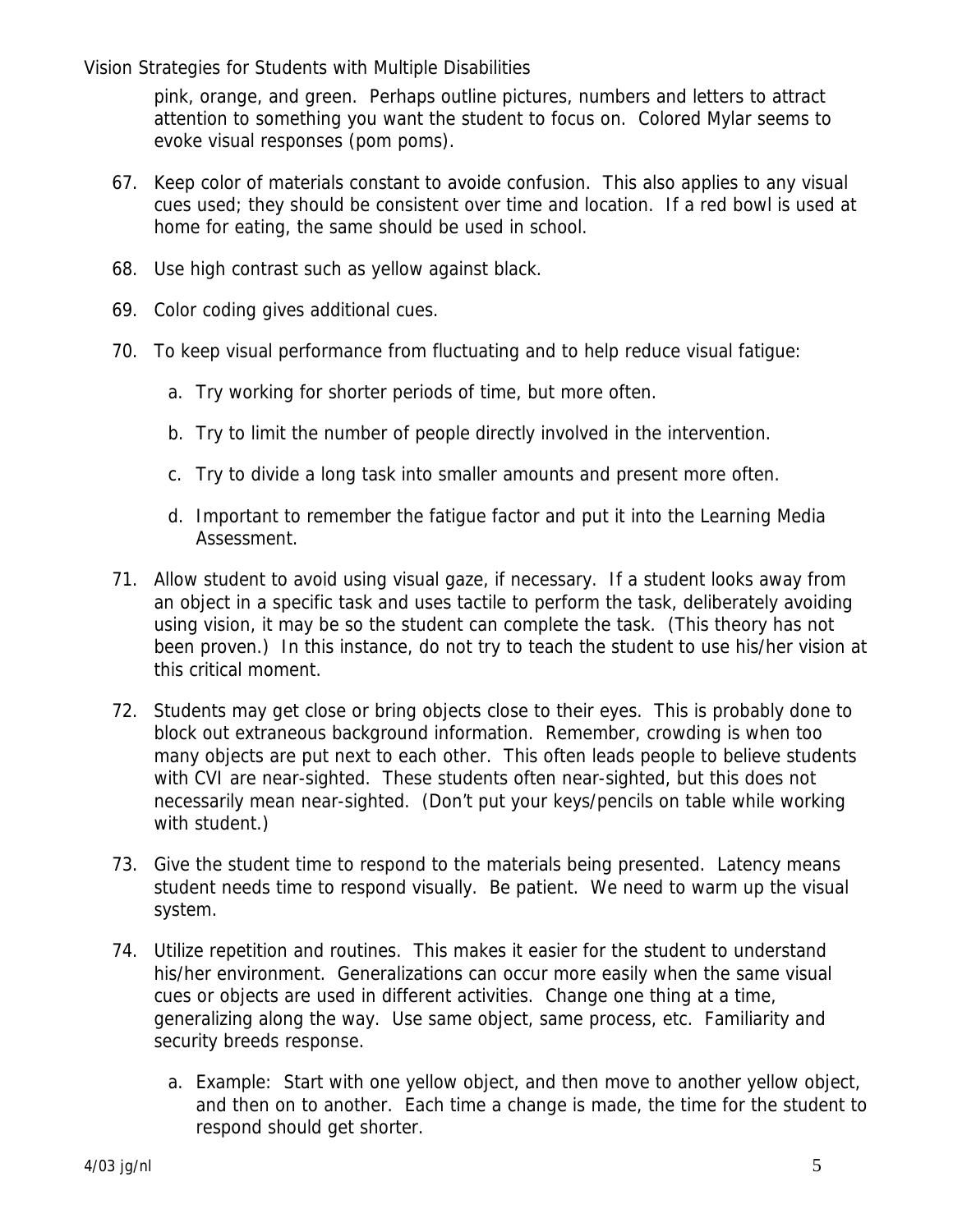pink, orange, and green. Perhaps outline pictures, numbers and letters to attract attention to something you want the student to focus on. Colored Mylar seems to evoke visual responses (pom poms).

- 67. Keep color of materials constant to avoide confusion. This also applies to any visual cues used; they should be consistent over time and location. If a red bowl is used at home for eating, the same should be used in school.
- 68. Use high contrast such as yellow against black.
- 69. Color coding gives additional cues.
- 70. To keep visual performance from fluctuating and to help reduce visual fatigue:
	- a. Try working for shorter periods of time, but more often.
	- b. Try to limit the number of people directly involved in the intervention.
	- c. Try to divide a long task into smaller amounts and present more often.
	- d. Important to remember the fatigue factor and put it into the Learning Media Assessment.
- 71. Allow student to avoid using visual gaze, if necessary. If a student looks away from an object in a specific task and uses tactile to perform the task, deliberately avoiding using vision, it may be so the student can complete the task. (This theory has not been proven.) In this instance, do not try to teach the student to use his/her vision at this critical moment.
- 72. Students may get close or bring objects close to their eyes. This is probably done to block out extraneous background information. Remember, crowding is when too many objects are put next to each other. This often leads people to believe students with CVI are near-sighted. These students often near-sighted, but this does not necessarily mean near-sighted. (Don't put your keys/pencils on table while working with student.)
- 73. Give the student time to respond to the materials being presented. Latency means student needs time to respond visually. Be patient. We need to warm up the visual system.
- 74. Utilize repetition and routines. This makes it easier for the student to understand his/her environment. Generalizations can occur more easily when the same visual cues or objects are used in different activities. Change one thing at a time, generalizing along the way. Use same object, same process, etc. Familiarity and security breeds response.
	- a. Example: Start with one yellow object, and then move to another yellow object, and then on to another. Each time a change is made, the time for the student to respond should get shorter.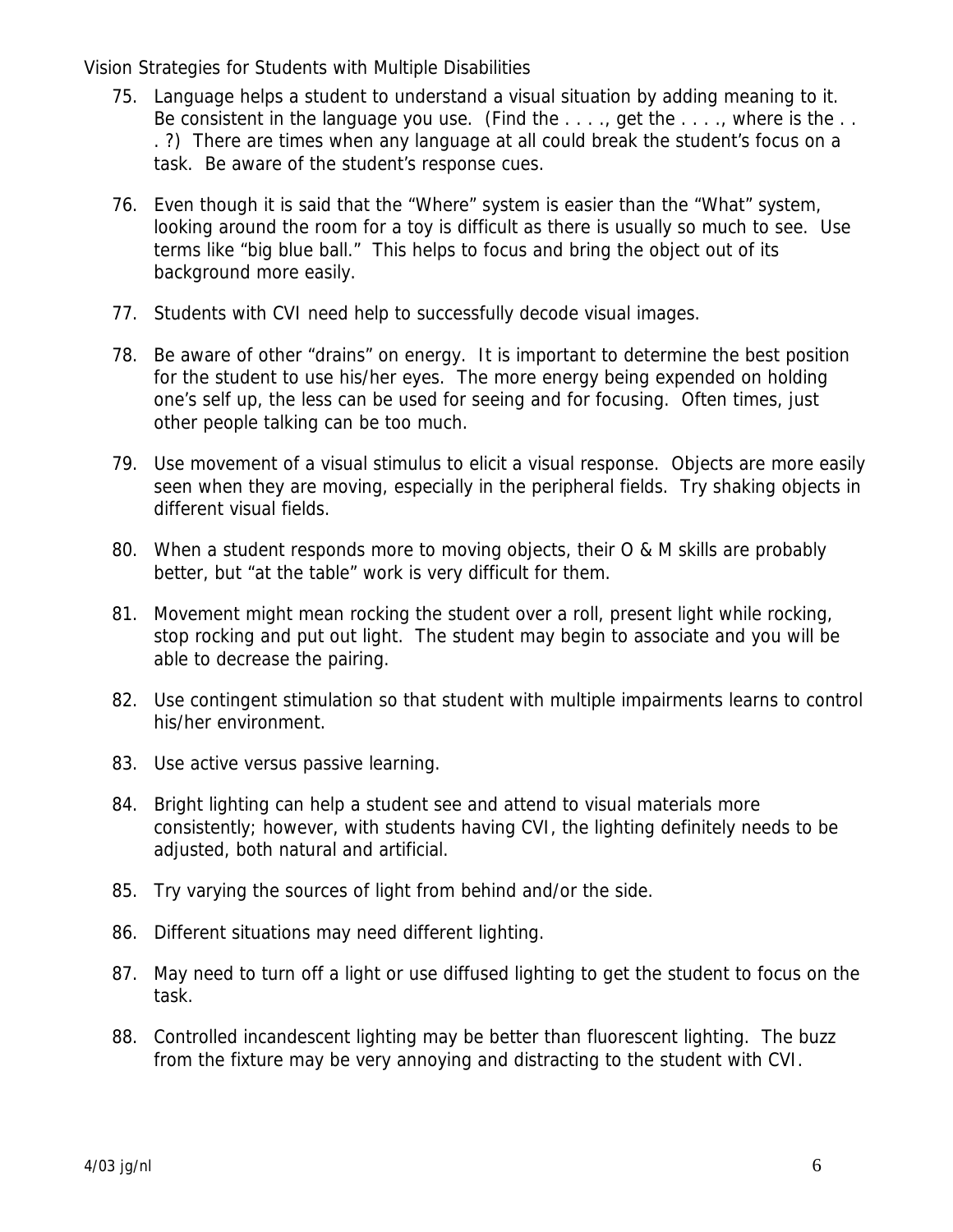- 75. Language helps a student to understand a visual situation by adding meaning to it. Be consistent in the language you use. (Find the  $\dots$ , get the  $\dots$ , where is the  $\dots$ . ?) There are times when any language at all could break the student's focus on a task. Be aware of the student's response cues.
- 76. Even though it is said that the "Where" system is easier than the "What" system, looking around the room for a toy is difficult as there is usually so much to see. Use terms like "big blue ball." This helps to focus and bring the object out of its background more easily.
- 77. Students with CVI need help to successfully decode visual images.
- 78. Be aware of other "drains" on energy. It is important to determine the best position for the student to use his/her eyes. The more energy being expended on holding one's self up, the less can be used for seeing and for focusing. Often times, just other people talking can be too much.
- 79. Use movement of a visual stimulus to elicit a visual response. Objects are more easily seen when they are moving, especially in the peripheral fields. Try shaking objects in different visual fields.
- 80. When a student responds more to moving objects, their O & M skills are probably better, but "at the table" work is very difficult for them.
- 81. Movement might mean rocking the student over a roll, present light while rocking, stop rocking and put out light. The student may begin to associate and you will be able to decrease the pairing.
- 82. Use contingent stimulation so that student with multiple impairments learns to control his/her environment.
- 83. Use active versus passive learning.
- 84. Bright lighting can help a student see and attend to visual materials more consistently; however, with students having CVI, the lighting definitely needs to be adjusted, both natural and artificial.
- 85. Try varying the sources of light from behind and/or the side.
- 86. Different situations may need different lighting.
- 87. May need to turn off a light or use diffused lighting to get the student to focus on the task.
- 88. Controlled incandescent lighting may be better than fluorescent lighting. The buzz from the fixture may be very annoying and distracting to the student with CVI.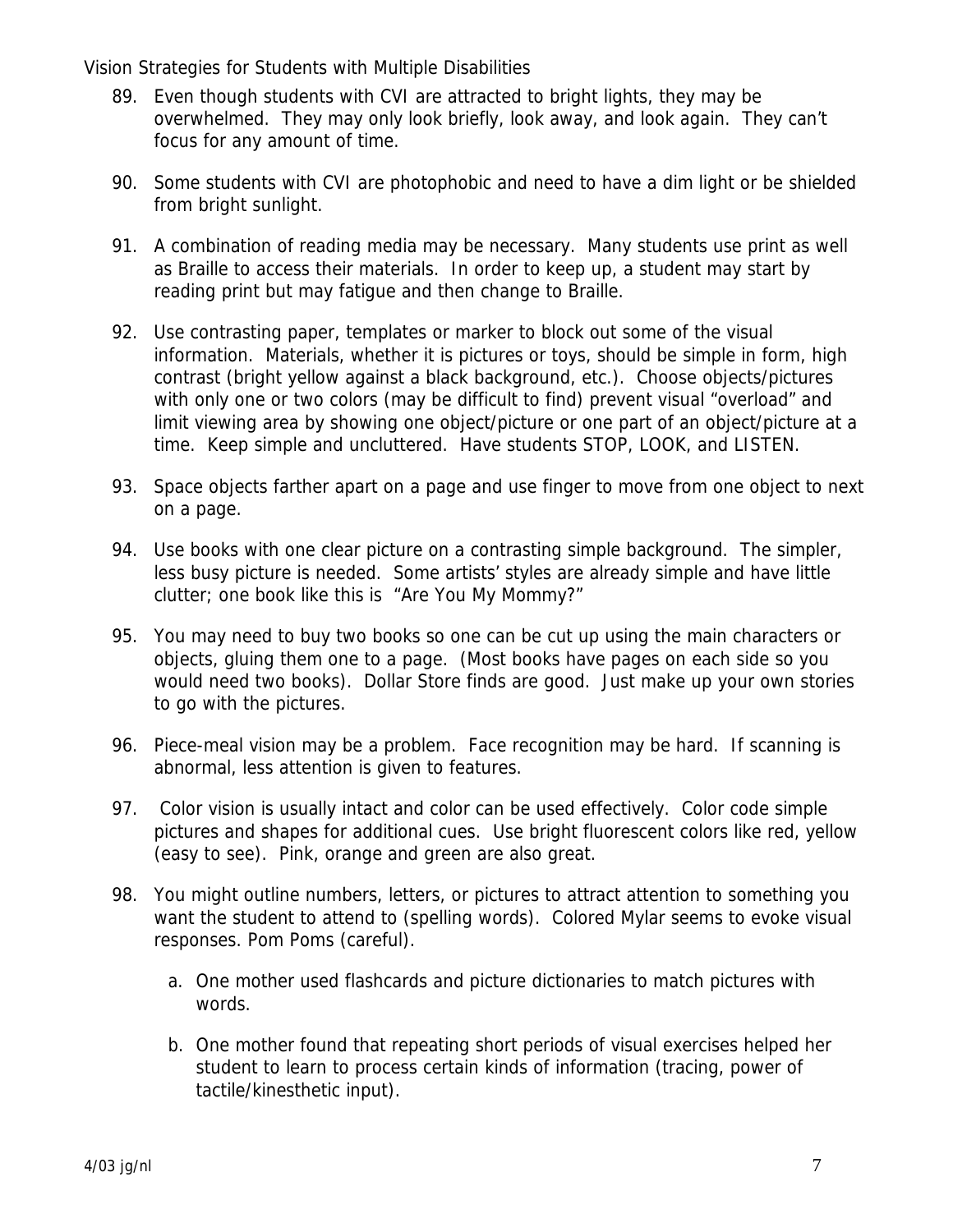- 89. Even though students with CVI are attracted to bright lights, they may be overwhelmed. They may only look briefly, look away, and look again. They can't focus for any amount of time.
- 90. Some students with CVI are photophobic and need to have a dim light or be shielded from bright sunlight.
- 91. A combination of reading media may be necessary. Many students use print as well as Braille to access their materials. In order to keep up, a student may start by reading print but may fatigue and then change to Braille.
- 92. Use contrasting paper, templates or marker to block out some of the visual information. Materials, whether it is pictures or toys, should be simple in form, high contrast (bright yellow against a black background, etc.). Choose objects/pictures with only one or two colors (may be difficult to find) prevent visual "overload" and limit viewing area by showing one object/picture or one part of an object/picture at a time. Keep simple and uncluttered. Have students STOP, LOOK, and LISTEN.
- 93. Space objects farther apart on a page and use finger to move from one object to next on a page.
- 94. Use books with one clear picture on a contrasting simple background. The simpler, less busy picture is needed. Some artists' styles are already simple and have little clutter; one book like this is "Are You My Mommy?"
- 95. You may need to buy two books so one can be cut up using the main characters or objects, gluing them one to a page. (Most books have pages on each side so you would need two books). Dollar Store finds are good. Just make up your own stories to go with the pictures.
- 96. Piece-meal vision may be a problem. Face recognition may be hard. If scanning is abnormal, less attention is given to features.
- 97. Color vision is usually intact and color can be used effectively. Color code simple pictures and shapes for additional cues. Use bright fluorescent colors like red, yellow (easy to see). Pink, orange and green are also great.
- 98. You might outline numbers, letters, or pictures to attract attention to something you want the student to attend to (spelling words). Colored Mylar seems to evoke visual responses. Pom Poms (careful).
	- a. One mother used flashcards and picture dictionaries to match pictures with words.
	- b. One mother found that repeating short periods of visual exercises helped her student to learn to process certain kinds of information (tracing, power of tactile/kinesthetic input).